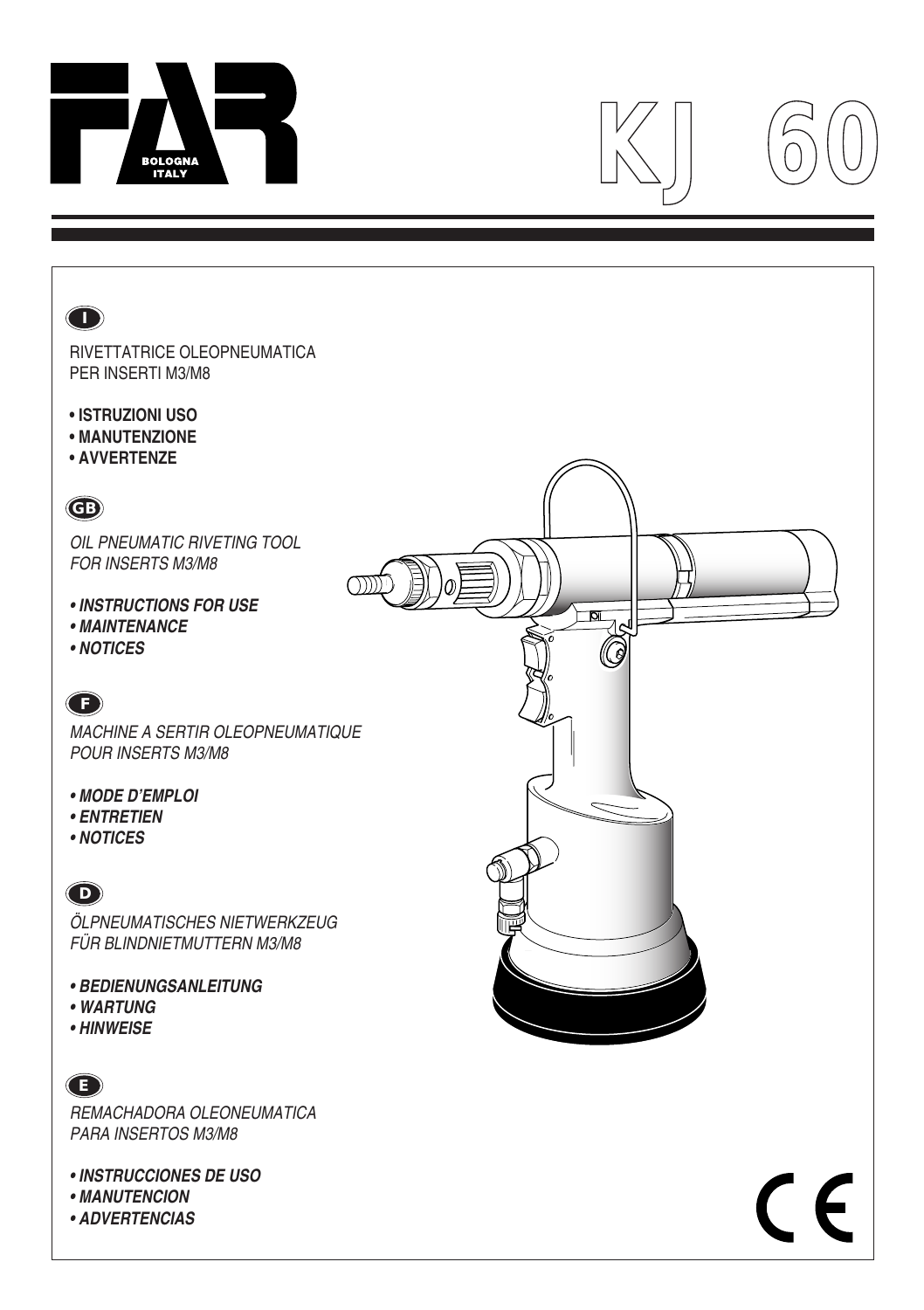

# $\left|\frac{1}{N}\right|$



**• ADVERTENCIAS**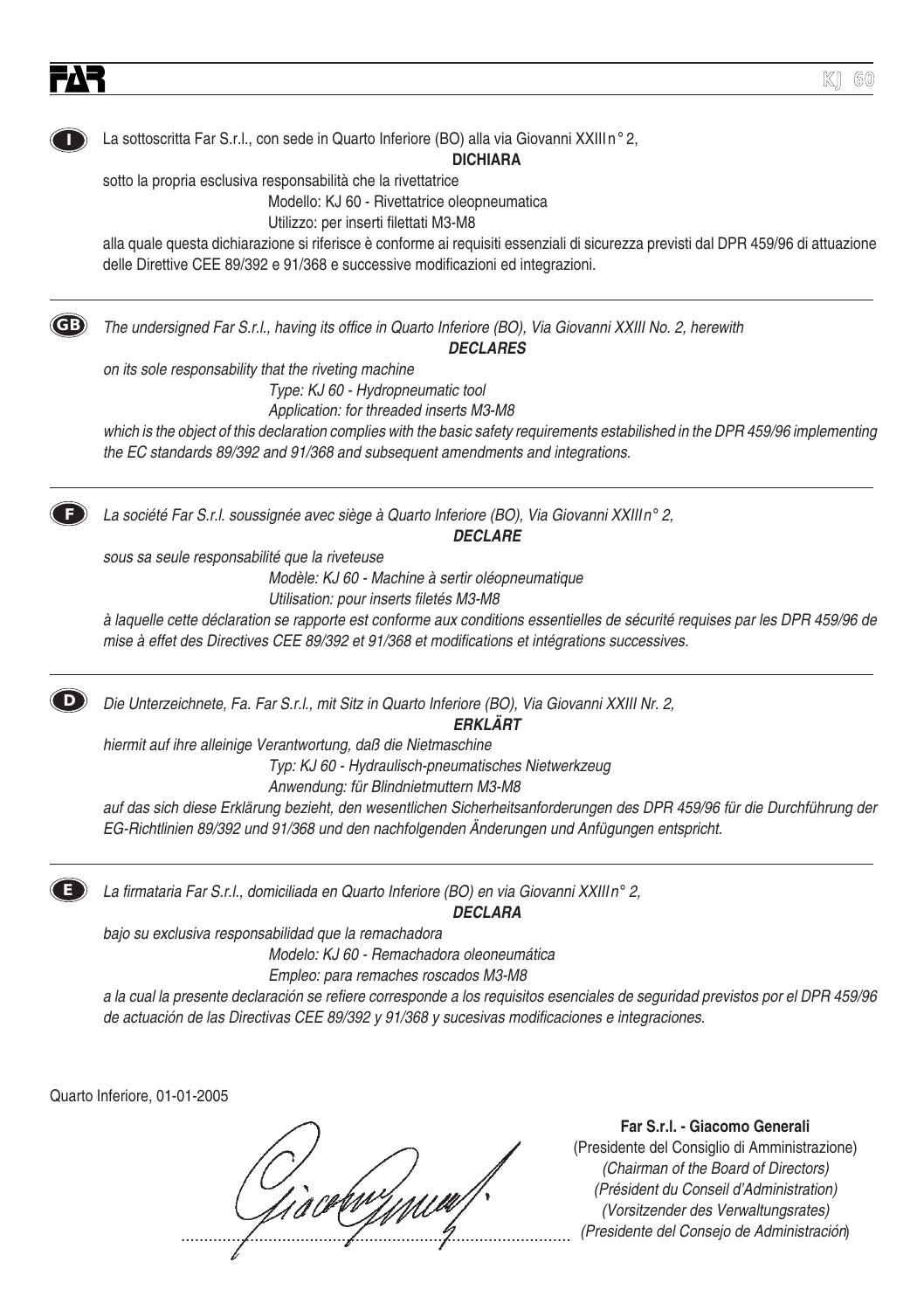

(Chairman of the Board of Directors) (Président du Conseil d'Administration) (Vorsitzender des Verwaltungsrates) (Présidente de Board of Directors)<br>
(Président du Conseil d'Administration)<br>
(Presidente del Consejo de Administración)<br>
(Presidente del Consejo de Administración)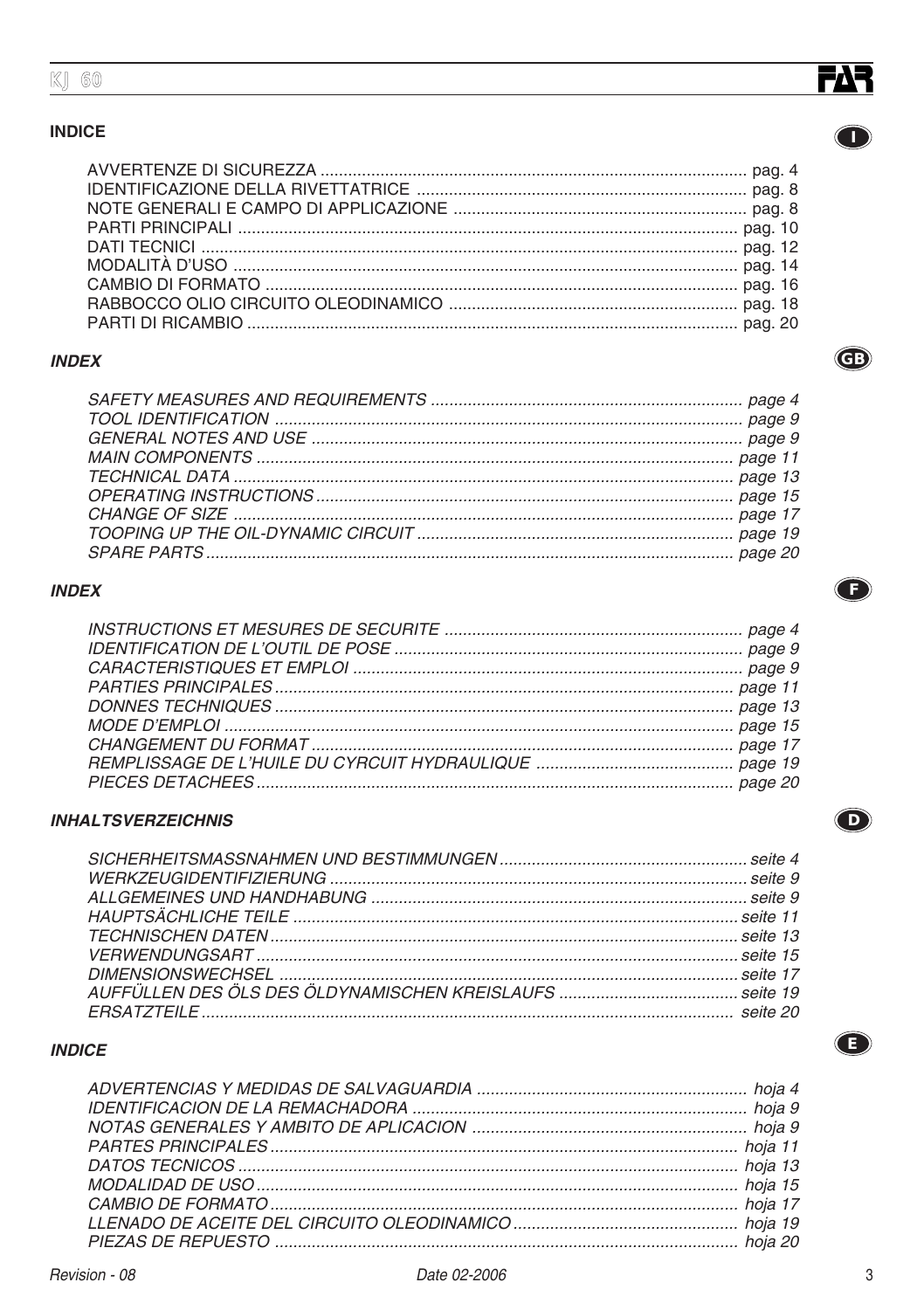#### **INDICE**

#### **INDEX**

#### **INDEX**

#### **INHALTSVERZEICHNIS**

#### **INDICE**



 $\bullet$ 

 $\bigodot$ 

 $\bigodot$ 

 $\bigodot$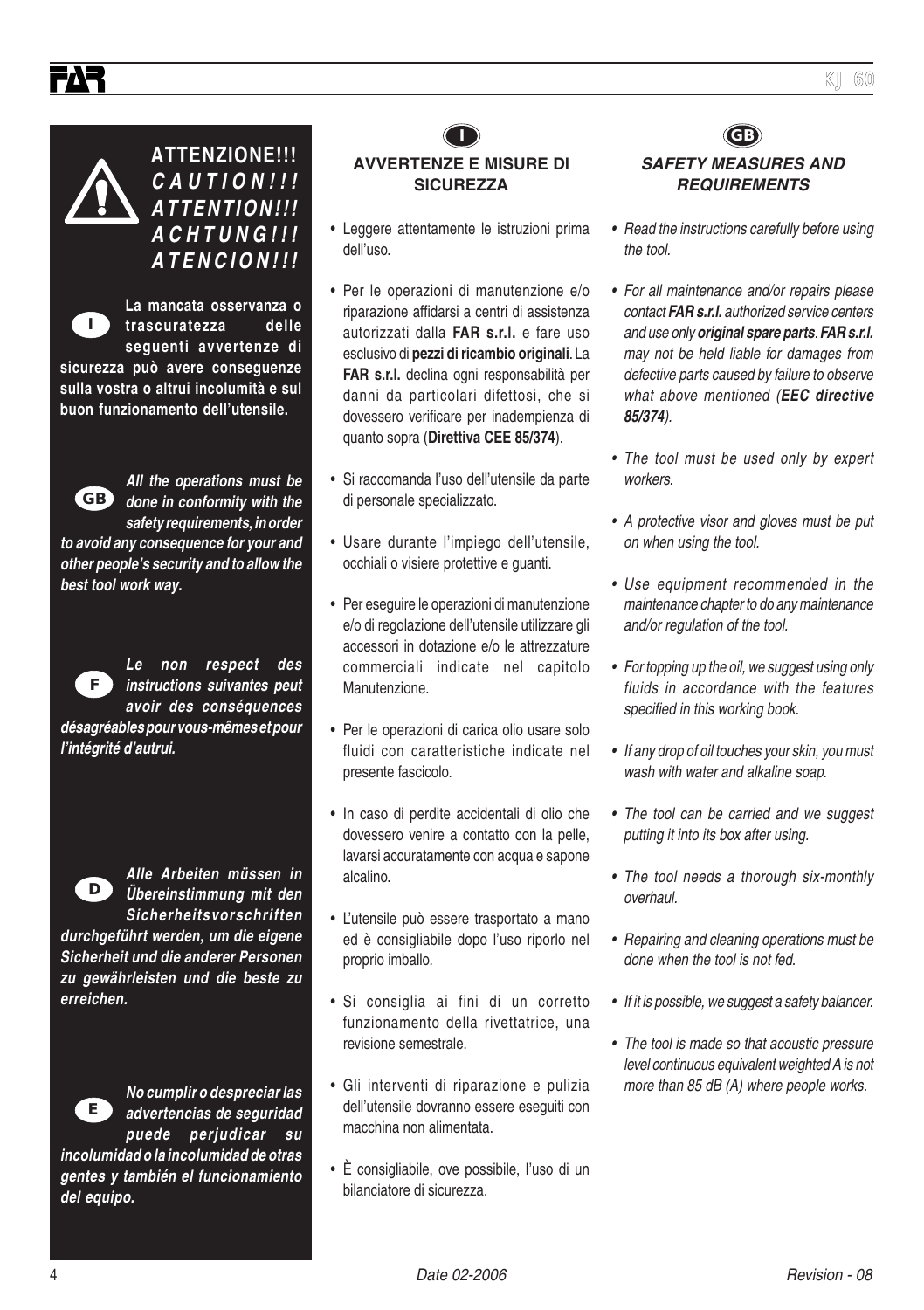

**ATTENZIONE!!! CAUTION!!! ATTENTION!!! ACHTUNG!!! ATENCION!!!**

**La mancata osservanza o trascuratezza delle seguenti avvertenze di sicurezza può avere conseguenze sulla vostra o altrui incolumità e sul buon funzionamento dell'utensile. I**



**All the operations must be done in conformity with the GB safety requirements, in order**

**to avoid any consequence for your and other people's security and to allow the best tool work way.**

**F**

**Le non respect des instructions suivantes peut avoir des conséquences**

**désagréables pour vous-mêmes et pour l'intégrité d'autrui.**



**Alle Arbeiten müssen in Übereinstimmung mit den Sicherheitsvorschriften**

**durchgeführt werden, um die eigene Sicherheit und die anderer Personen zu gewährleisten und die beste zu erreichen.**



**del equipo.**

**No cumplir o despreciar las advertencias de seguridad puede perjudicar su incolumidad o la incolumidad de otras gentes y también el funcionamiento**



- Leggere attentamente le istruzioni prima dell'uso.
- Per le operazioni di manutenzione e/o riparazione affidarsi a centri di assistenza autorizzati dalla **FAR s.r.l.** e fare uso esclusivo di **pezzi di ricambio originali**. La **FAR s.r.l.** declina ogni responsabilità per danni da particolari difettosi, che si dovessero verificare per inadempienza di quanto sopra (**Direttiva CEE 85/374**).
- Si raccomanda l'uso dell'utensile da parte di personale specializzato.
- Usare durante l'impiego dell'utensile, occhiali o visiere protettive e guanti.
- Per eseguire le operazioni di manutenzione e/o di regolazione dell'utensile utilizzare gli accessori in dotazione e/o le attrezzature commerciali indicate nel capitolo Manutenzione.
- Per le operazioni di carica olio usare solo fluidi con caratteristiche indicate nel presente fascicolo.
- In caso di perdite accidentali di olio che dovessero venire a contatto con la pelle, lavarsi accuratamente con acqua e sapone alcalino.
- L'utensile può essere trasportato a mano ed è consigliabile dopo l'uso riporlo nel proprio imballo.
- Si consiglia ai fini di un corretto funzionamento della rivettatrice, una revisione semestrale.
- Gli interventi di riparazione e pulizia dell'utensile dovranno essere eseguiti con macchina non alimentata.
- È consigliabile, ove possibile, I'uso di un bilanciatore di sicurezza.

#### **I GB SAFETY MEASURES AND REQUIREMENTS**

- Read the instructions carefully before using the tool.
- For all maintenance and/or repairs please contact **FAR s.r.l.** authorized service centers and use only **original spare parts**. **FAR s.r.l.** may not be held liable for damages from defective parts caused by failure to observe what above mentioned (**EEC directive 85/374**).
- The tool must be used only by expert workers.
- A protective visor and gloves must be put on when using the tool.
- Use equipment recommended in the maintenance chapter to do any maintenance and/or regulation of the tool.
- For topping up the oil, we suggest using only fluids in accordance with the features specified in this working book.
- If any drop of oil touches your skin, you must wash with water and alkaline soap.
- The tool can be carried and we suggest putting it into its box after using.
- The tool needs a thorough six-monthly overhaul.
- Repairing and cleaning operations must be done when the tool is not fed.
- If it is possible, we suggest a safety balancer.
- The tool is made so that acoustic pressure level continuous equivalent weighted A is not more than 85 dB (A) where people works.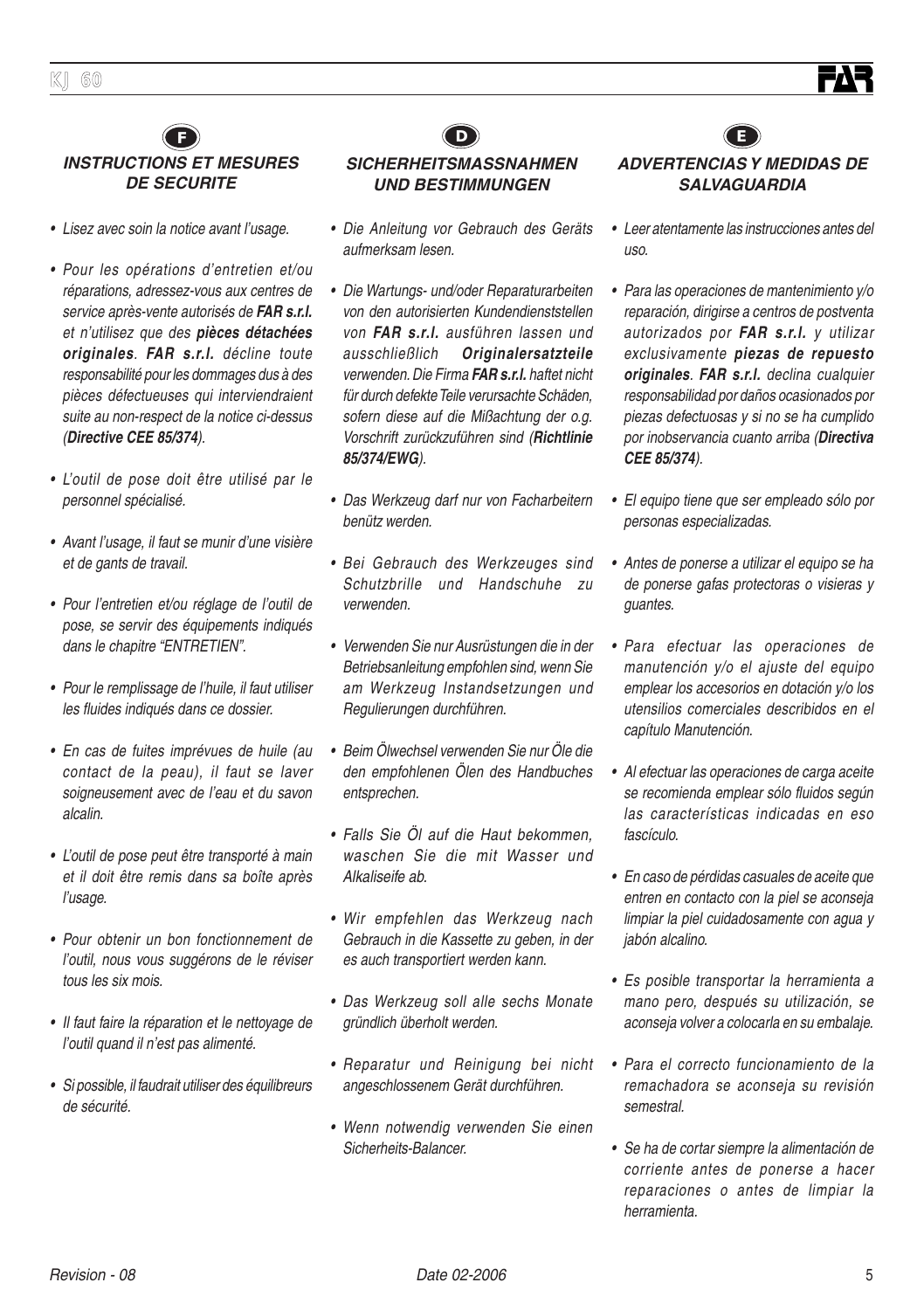#### **F D E INSTRUCTIONS ET MESURES DE SECURITE**

- Lisez avec soin la notice avant l'usage.
- Pour les opérations d'entretien et/ou réparations, adressez-vous aux centres de service après-vente autorisés de **FAR s.r.l.** et n'utilisez que des **pièces détachées originales**. **FAR s.r.l.** décline toute responsabilité pour les dommages dus à des pièces défectueuses qui interviendraient suite au non-respect de la notice ci-dessus (**Directive CEE 85/374**).
- L'outil de pose doit être utilisé par le personnel spécialisé.
- Avant l'usage, il faut se munir d'une visière et de gants de travail.
- Pour l'entretien et/ou réglage de l'outil de pose, se servir des équipements indiqués dans le chapitre "ENTRETIEN".
- Pour le remplissage de l'huile, il faut utiliser les fluides indiqués dans ce dossier.
- En cas de fuites imprévues de huile (au contact de la peau), il faut se laver soigneusement avec de l'eau et du savon alcalin.
- L'outil de pose peut être transporté à main et il doit être remis dans sa boîte après l'usage.
- Pour obtenir un bon fonctionnement de l'outil, nous vous suggérons de le réviser tous les six mois.
- Il faut faire la réparation et le nettoyage de l'outil quand il n'est pas alimenté.
- Si possible, il faudrait utiliser des équilibreurs de sécurité.

#### **SICHERHEITSMASSNAHMEN UND BESTIMMUNGEN**

- Die Anleitung vor Gebrauch des Geräts aufmerksam lesen.
- Die Wartungs- und/oder Reparaturarbeiten von den autorisierten Kundendienststellen von **FAR s.r.l.** ausführen lassen und ausschließlich **Originalersatzteile** verwenden. Die Firma **FAR s.r.l.** haftet nicht für durch defekte Teile verursachte Schäden, sofern diese auf die Mißachtung der o.g. Vorschrift zurückzuführen sind (**Richtlinie 85/374/EWG**).
- Das Werkzeug darf nur von Facharbeitern benütz werden.
- Bei Gebrauch des Werkzeuges sind Schutzbrille und Handschuhe zu verwenden.
- Verwenden Sie nur Ausrüstungen die in der Betriebsanleitung empfohlen sind, wenn Sie am Werkzeug Instandsetzungen und Regulierungen durchführen.
- Beim Ölwechsel verwenden Sie nur Öle die den empfohlenen Ölen des Handbuches entsprechen.
- Falls Sie Öl auf die Haut bekommen, waschen Sie die mit Wasser und Alkaliseife ab.
- Wir empfehlen das Werkzeug nach Gebrauch in die Kassette zu geben, in der es auch transportiert werden kann.
- Das Werkzeug soll alle sechs Monate gründlich überholt werden.
- Reparatur und Reinigung bei nicht angeschlossenem Gerät durchführen.
- Wenn notwendig verwenden Sie einen Sicherheits-Balancer.

# **ADVERTENCIAS Y MEDIDAS DE SALVAGUARDIA**

- Leer atentamente las instrucciones antes del uso.
- Para las operaciones de mantenimiento y/o reparación, dirigirse a centros de postventa autorizados por **FAR s.r.l.** y utilizar exclusivamente **piezas de repuesto originales**. **FAR s.r.l.** declina cualquier responsabilidad por daños ocasionados por piezas defectuosas y si no se ha cumplido por inobservancia cuanto arriba (**Directiva CEE 85/374**).
- El equipo tiene que ser empleado sólo por personas especializadas.
- • Antes de ponerse a utilizar el equipo se ha de ponerse gafas protectoras o visieras y guantes.
- Para efectuar las operaciones de manutención v/o el ajuste del equipo emplear los accesorios en dotación y/o los utensilios comerciales describidos en el capítulo Manutención.
- Al efectuar las operaciones de carga aceite se recomienda emplear sólo fluidos según las características indicadas en eso fascículo.
- En caso de pérdidas casuales de aceite que entren en contacto con la piel se aconseja limpiar la piel cuidadosamente con agua y jabón alcalino.
- Es posible transportar la herramienta a mano pero, después su utilización, se aconseja volver a colocarla en su embalaje.
- Para el correcto funcionamiento de la remachadora se aconseja su revisión semestral.
- Se ha de cortar siempre la alimentación de corriente antes de ponerse a hacer reparaciones o antes de limpiar la herramienta.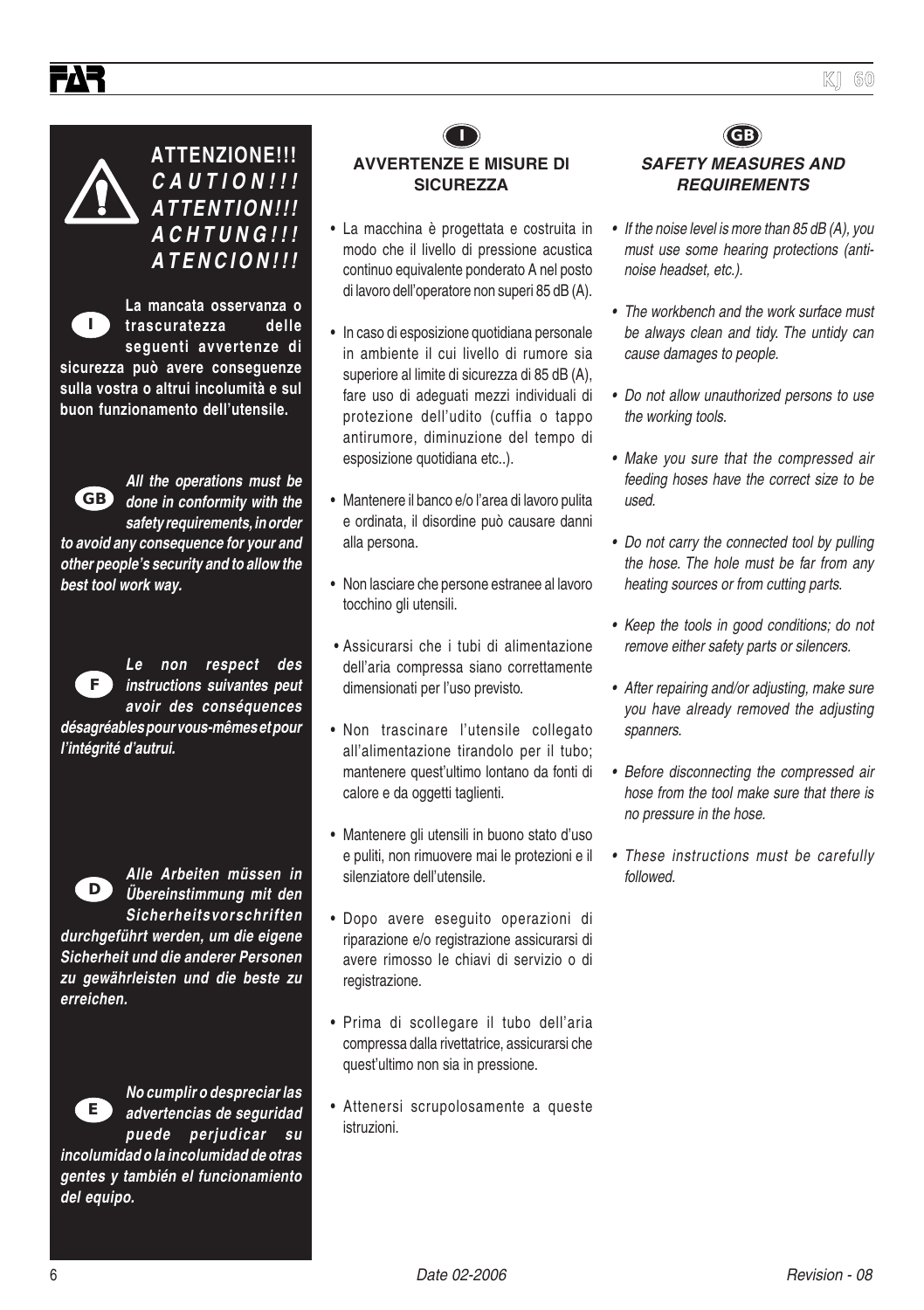

**ATTENZIONE!!! CAUTION!!! ATTENTION!!! ACHTUNG!!! ATENCION!!!**

**La mancata osservanza o trascuratezza delle seguenti avvertenze di sicurezza può avere conseguenze I**

**sulla vostra o altrui incolumità e sul buon funzionamento dell'utensile.**



**All the operations must be done in conformity with the safety requirements, in order**

**to avoid any consequence for your and other people's security and to allow the best tool work way.**



**Le non respect des instructions suivantes peut avoir des conséquences**

**désagréables pour vous-mêmes et pour l'intégrité d'autrui.**



**Alle Arbeiten müssen in Übereinstimmung mit den Sicherheitsvorschriften**

**durchgeführt werden, um die eigene Sicherheit und die anderer Personen zu gewährleisten und die beste zu erreichen.**



**No cumplir o despreciar las advertencias de seguridad puede perjudicar su**

**incolumidad o la incolumidad de otras gentes y también el funcionamiento del equipo.**



• La macchina è progettata e costruita in modo che il livello di pressione acustica continuo equivalente ponderato A nel posto di lavoro dell'operatore non superi 85 dB (A).

- In caso di esposizione quotidiana personale in ambiente il cui livello di rumore sia superiore al limite di sicurezza di 85 dB (A), fare uso di adeguati mezzi individuali di protezione dell'udito (cuffia o tappo antirumore, diminuzione del tempo di esposizione quotidiana etc..).
- Mantenere il banco e/o l'area di lavoro pulita e ordinata, il disordine può causare danni alla persona.
- Non lasciare che persone estranee al lavoro tocchino gli utensili.
- Assicurarsi che i tubi di alimentazione dell'aria compressa siano correttamente dimensionati per l'uso previsto.
- Non trascinare l'utensile collegato all'alimentazione tirandolo per il tubo; mantenere quest'ultimo lontano da fonti di calore e da oggetti taglienti.
- Mantenere gli utensili in buono stato d'uso e puliti, non rimuovere mai le protezioni e il silenziatore dell'utensile.
- Dopo avere eseguito operazioni di riparazione e/o registrazione assicurarsi di avere rimosso le chiavi di servizio o di registrazione.
- Prima di scollegare il tubo dell'aria compressa dalla rivettatrice, assicurarsi che quest'ultimo non sia in pressione.
- Attenersi scrupolosamente a queste istruzioni.

#### **I GB SAFETY MEASURES AND REQUIREMENTS**

- If the noise level is more than 85 dB (A), you must use some hearing protections (antinoise headset, etc.).
- The workbench and the work surface must be always clean and tidy. The untidy can cause damages to people.
- Do not allow unauthorized persons to use the working tools.
- Make you sure that the compressed air feeding hoses have the correct size to be used.
- Do not carry the connected tool by pulling the hose. The hole must be far from any heating sources or from cutting parts.
- Keep the tools in good conditions; do not remove either safety parts or silencers.
- After repairing and/or adjusting, make sure you have already removed the adjusting spanners.
- Before disconnecting the compressed air hose from the tool make sure that there is no pressure in the hose.
- These instructions must be carefully followed.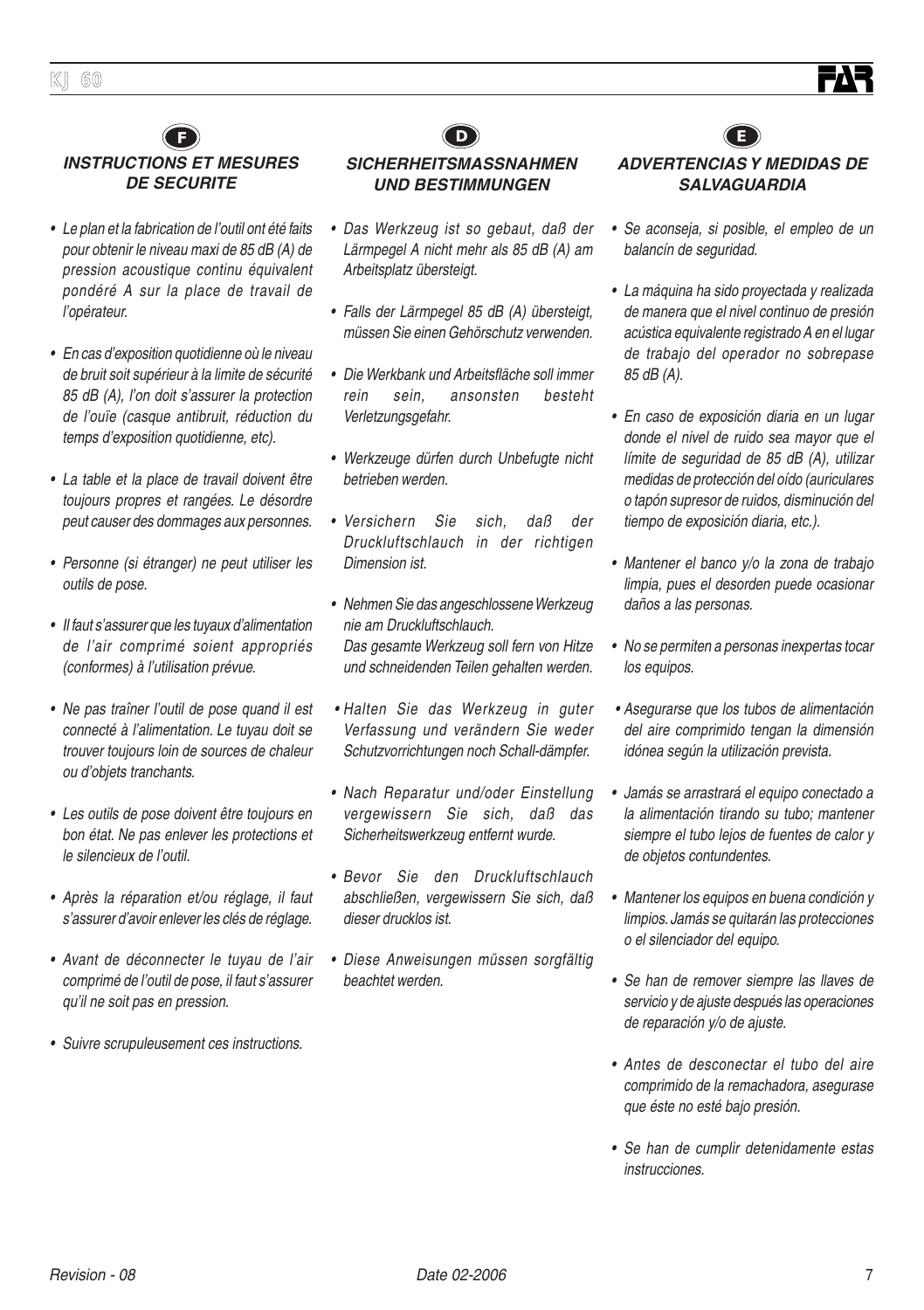



- Le plan et la fabrication de l'outil ont été faits pour obtenir le niveau maxi de 85 dB (A) de pression acoustique continu équivalent pondéré A sur la place de travail de l'opérateur.
- En cas d'exposition quotidienne où le niveau de bruit soit supérieur à la limite de sécurité 85 dB (A), l'on doit s'assurer la protection de l'ouïe (casque antibruit, réduction du temps d'exposition quotidienne, etc).
- La table et la place de travail doivent être toujours propres et rangées. Le désordre peut causer des dommages aux personnes.
- Personne (si étranger) ne peut utiliser les outils de pose.
- Il faut s'assurer que les tuyaux d'alimentation de l'air comprimé soient appropriés (conformes) à l'utilisation prévue.
- Ne pas traîner l'outil de pose quand il est connecté à l'alimentation. Le tuyau doit se trouver toujours loin de sources de chaleur ou d'objets tranchants.
- Les outils de pose doivent être toujours en bon état. Ne pas enlever les protections et le silencieux de l'outil.
- Après la réparation et/ou réglage, il faut <sup>s</sup>'assurer d'avoir enlever les clés de réglage.
- Avant de déconnecter le tuyau de l'air comprimé de l'outil de pose, il faut s'assurer qu'il ne soit pas en pression.
- Suivre scrupuleusement ces instructions.



#### **SICHERHEITSMASSNAHMEN UND BESTIMMUNGEN**

- Das Werkzeug ist so gebaut, daß der Lärmpegel A nicht mehr als 85 dB (A) am Arbeitsplatz übersteigt.
- Falls der Lärmpegel 85 dB (A) übersteigt, müssen Sie einen Gehörschutz verwenden.
- Die Werkbank und Arbeitsfläche soll immer rein sein, ansonsten besteht Verletzungsgefahr.
- Werkzeuge dürfen durch Unbefugte nicht betrieben werden.
- Versichern Sie sich, daß der Druckluftschlauch in der richtigen Dimension ist.
- Nehmen Sie das angeschlossene Werkzeug nie am Druckluftschlauch. Das gesamte Werkzeug soll fern von Hitze und schneidenden Teilen gehalten werden.
- Halten Sie das Werkzeug in guter Verfassung und verändern Sie weder Schutzvorrichtungen noch Schall-dämpfer.
- Nach Reparatur und/oder Einstellung vergewissern Sie sich, daß das Sicherheitswerkzeug entfernt wurde.
- Bevor Sie den Druckluftschlauch abschließen, vergewissern Sie sich, daß dieser drucklos ist.
- Diese Anweisungen müssen sorgfältig beachtet werden.



#### **ADVERTENCIAS Y MEDIDAS DE SALVAGUARDIA**

- Se aconseja, si posible, el empleo de un balancín de seguridad.
- La máquina ha sido proyectada y realizada de manera que el nivel continuo de presión acústica equivalente registrado A en el lugar de trabajo del operador no sobrepase 85 dB (A).
- En caso de exposición diaria en un lugar donde el nivel de ruido sea mayor que el límite de seguridad de 85 dB (A), utilizar medidas de protección del oído (auriculares o tapón supresor de ruidos, disminución del tiempo de exposición diaria, etc.).
- Mantener el banco y/o la zona de trabajo limpia, pues el desorden puede ocasionar daños a las personas.
- No se permiten a personas inexpertas tocar los equipos.
- Asegurarse que los tubos de alimentación del aire comprimido tengan la dimensión idónea según la utilización prevista.
- Jamás se arrastrará el equipo conectado a la alimentación tirando su tubo; mantener siempre el tubo lejos de fuentes de calor y de objetos contundentes.
- Mantener los equipos en buena condición y limpios. Jamás se quitarán las protecciones o el silenciador del equipo.
- Se han de remover siempre las llaves de servicio y de ajuste después las operaciones de reparación y/o de ajuste.
- Antes de desconectar el tubo del aire comprimido de la remachadora, asegurase que éste no esté bajo presión.
- Se han de cumplir detenidamente estas instrucciones.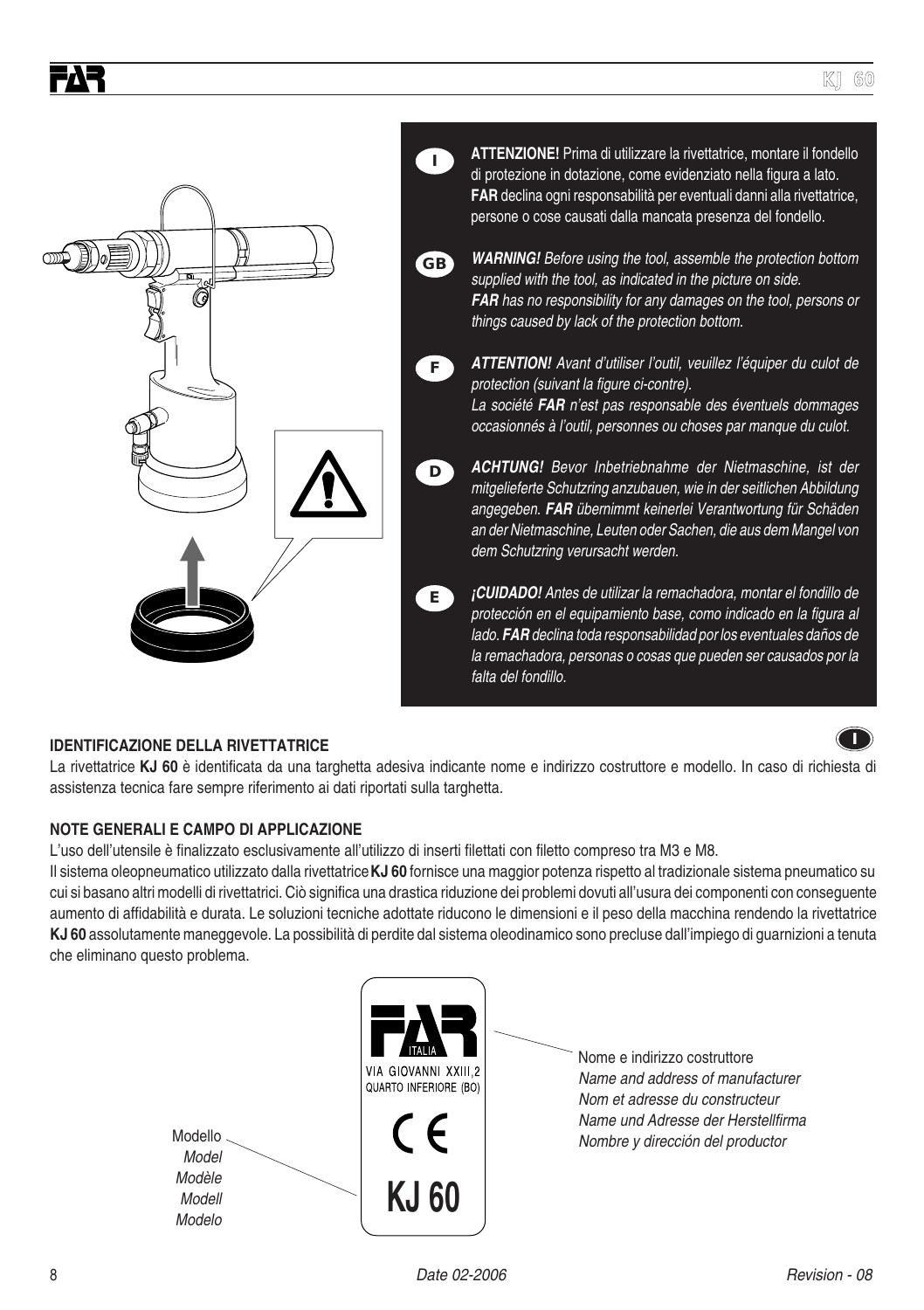

#### **IDENTIFICAZIONE DELLA RIVETTATRICE**

FAR

**I**

La rivettatrice **KJ 60** è identificata da una targhetta adesiva indicante nome e indirizzo costruttore e modello. In caso di richiesta di assistenza tecnica fare sempre riferimento ai dati riportati sulla targhetta.

#### **NOTE GENERALI E CAMPO DI APPLICAZIONE**

L'uso dell'utensile è finalizzato esclusivamente all'utilizzo di inserti filettati con filetto compreso tra M3 e M8.

Il sistema oleopneumatico utilizzato dalla rivettatrice **KJ 60** fornisce una maggior potenza rispetto al tradizionale sistema pneumatico su cui si basano altri modelli di rivettatrici. Ciò significa una drastica riduzione dei problemi dovuti all'usura dei componenti con conseguente aumento di affidabilità e durata. Le soluzioni tecniche adottate riducono le dimensioni e il peso della macchina rendendo la rivettatrice **KJ 60** assolutamente maneggevole. La possibilità di perdite dal sistema oleodinamico sono precluse dall'impiego di guarnizioni a tenuta che eliminano questo problema.

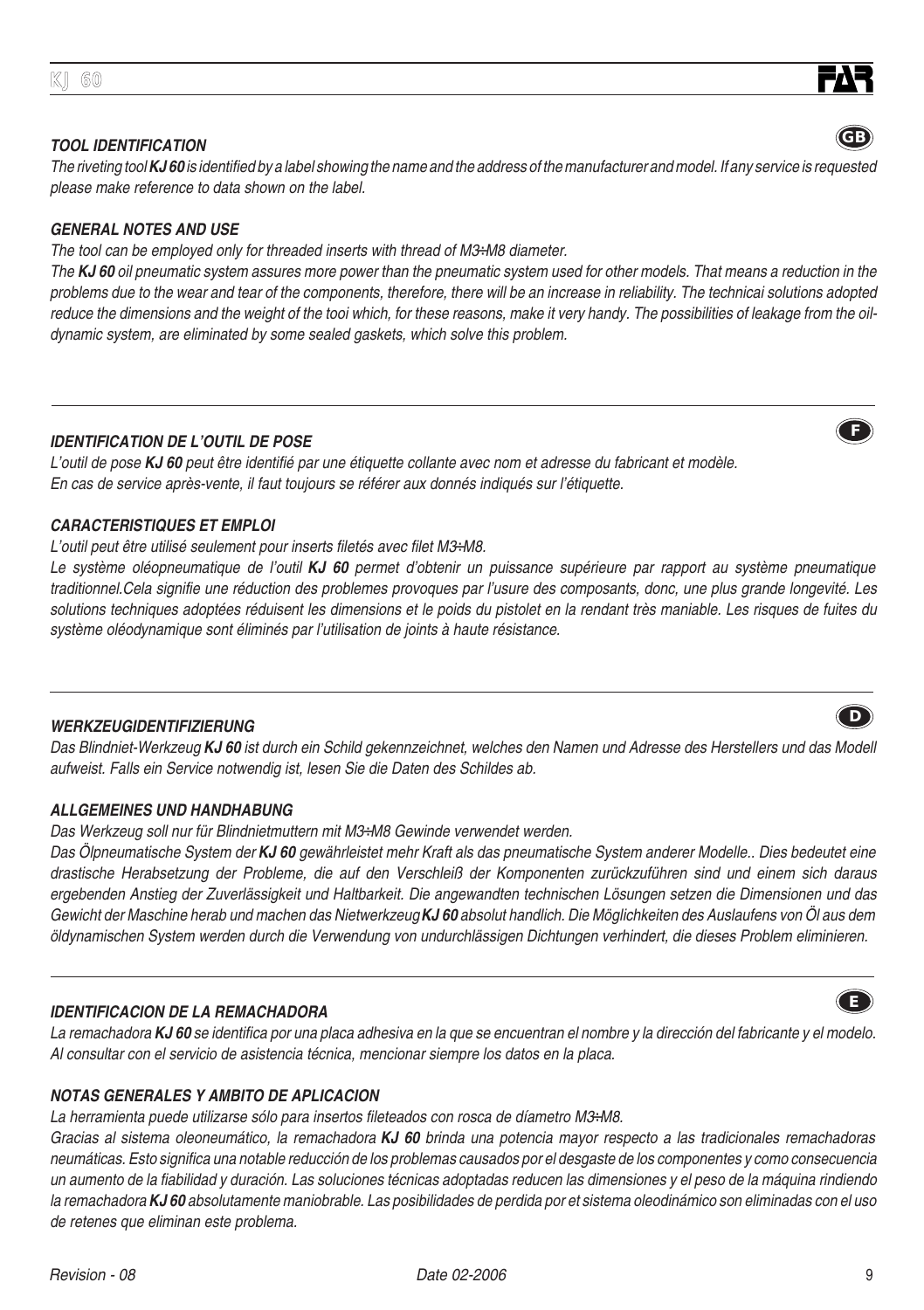#### **TOOL IDENTIFICATION**

The riveting tool **KJ 60** is identified by a label showing the name and the address of the manufacturer and model. If any service is requested please make reference to data shown on the label.

#### **GENERAL NOTES AND USE**

The tool can be employed only for threaded inserts with thread of M3÷M8 diameter.

The **KJ 60** oil pneumatic system assures more power than the pneumatic system used for other models. That means a reduction in the problems due to the wear and tear of the components, therefore, there will be an increase in reliability. The technicai solutions adopted reduce the dimensions and the weight of the tooi which, for these reasons, make it very handy. The possibilities of leakage from the oildynamic system, are eliminated by some sealed gaskets, which solve this problem.

#### **IDENTIFICATION DE L'OUTIL DE POSE**

L'outil de pose **KJ 60** peut être identifié par une étiquette collante avec nom et adresse du fabricant et modèle. En cas de service après-vente, il faut toujours se référer aux donnés indiqués sur l'étiquette.

#### **CARACTERISTIQUES ET EMPLOI**

#### L'outil peut être utilisé seulement pour inserts filetés avec filet M3÷M8.

Le système oléopneumatique de l'outil **KJ 60** permet d'obtenir un puissance supérieure par rapport au système pneumatique traditionnel.Cela signifie une réduction des problemes provoques par l'usure des composants, donc, une plus grande longevité. Les solutions techniques adoptées réduisent les dimensions et le poids du pistolet en la rendant très maniable. Les risques de fuites du système oléodynamique sont éliminés par l'utilisation de joints à haute résistance.

#### **WERKZEUGIDENTIFIZIERUNG**

Das Blindniet-Werkzeug **KJ 60** ist durch ein Schild gekennzeichnet, welches den Namen und Adresse des Herstellers und das Modell aufweist. Falls ein Service notwendig ist, lesen Sie die Daten des Schildes ab.

#### **ALLGEMEINES UND HANDHABUNG**

Das Werkzeug soll nur für Blindnietmuttern mit M3÷M8 Gewinde verwendet werden.

Das Ölpneumatische System der **KJ 60** gewährleistet mehr Kraft als das pneumatische System anderer Modelle.. Dies bedeutet eine drastische Herabsetzung der Probleme, die auf den Verschleiß der Komponenten zurückzuführen sind und einem sich daraus ergebenden Anstieg der Zuverlässigkeit und Haltbarkeit. Die angewandten technischen Lösungen setzen die Dimensionen und das Gewicht der Maschine herab und machen das Nietwerkzeug **KJ 60** absolut handlich. Die Möglichkeiten des Auslaufens von Öl aus dem öldynamischen System werden durch die Verwendung von undurchlässigen Dichtungen verhindert, die dieses Problem eliminieren.

#### **IDENTIFICACION DE LA REMACHADORA**

La remachadora **KJ 60** se identifica por una placa adhesiva en la que se encuentran el nombre y la dirección del fabricante y el modelo. Al consultar con el servicio de asistencia técnica, mencionar siempre los datos en la placa.

#### **NOTAS GENERALES Y AMBITO DE APLICACION**

La herramienta puede utilizarse sólo para insertos fileteados con rosca de díametro M3÷M8.

Gracias al sistema oleoneumático, la remachadora **KJ 60** brinda una potencia mayor respecto a las tradicionales remachadoras neumáticas. Esto significa una notable reducción de los problemas causados por el desgaste de los componentes y como consecuencia un aumento de la fiabilidad y duración. Las soluciones técnicas adoptadas reducen las dimensiones y el peso de la máquina rindiendo la remachadora **KJ 60** absolutamente maniobrable. Las posibilidades de perdida por et sistema oleodinámico son eliminadas con el uso de retenes que eliminan este problema.





**F**







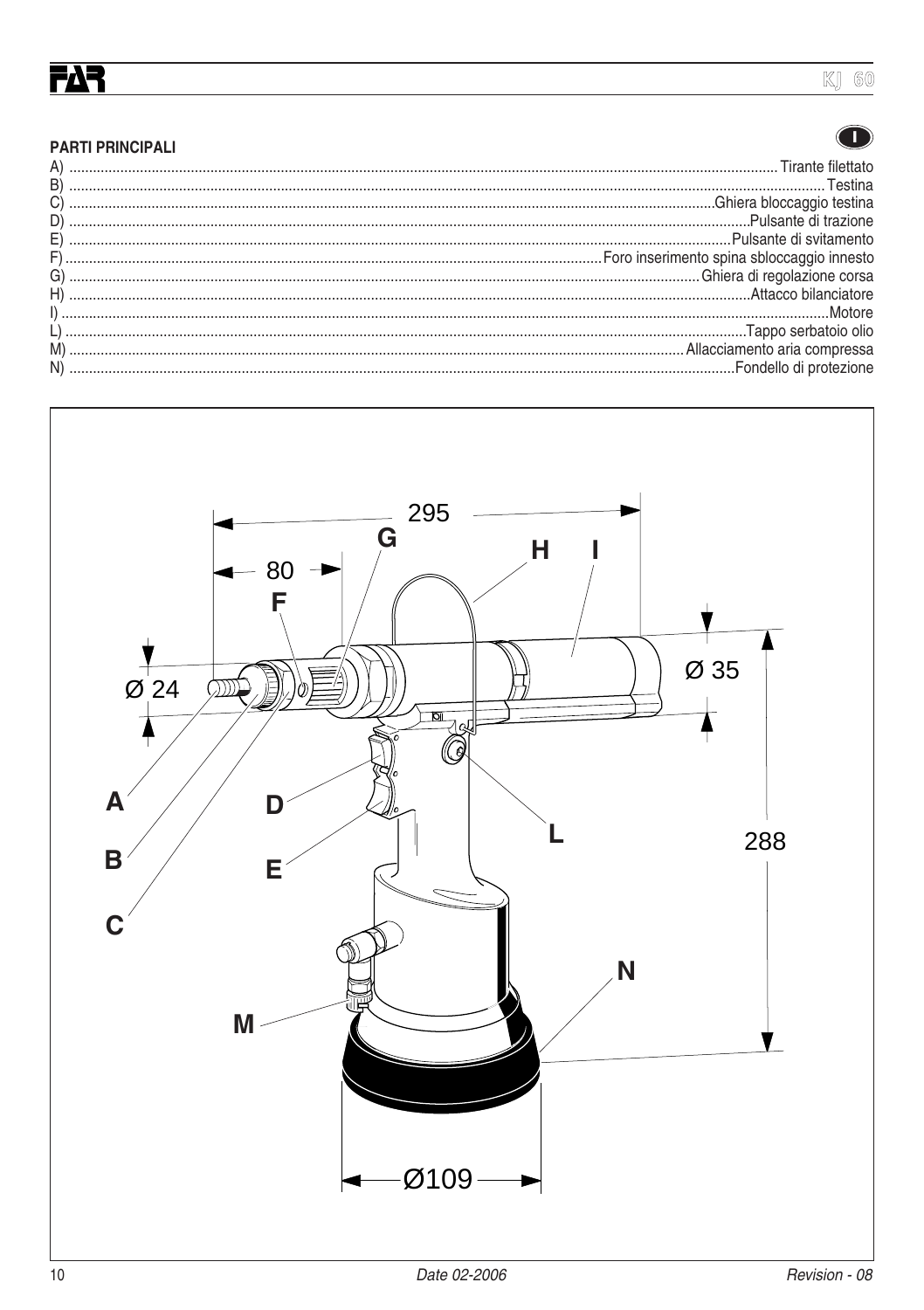# <u>ГДЗ</u>

## **KJ 60**

#### $\bigodot$

| <b>PARTI PRINCIPALI</b> |
|-------------------------|
|-------------------------|

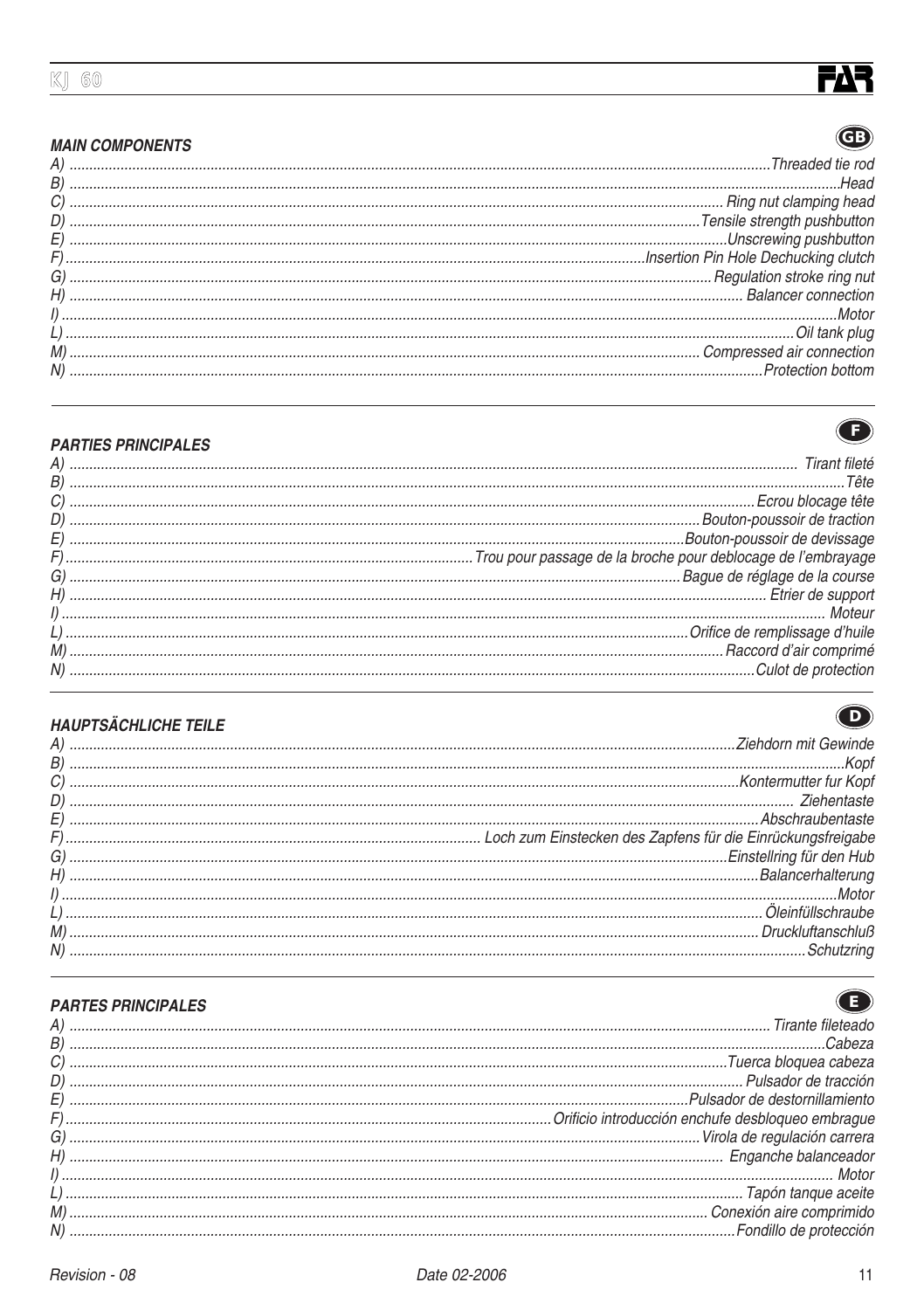# **FAR**  $\bigcirc$

#### **MAIN COMPONENTS**

| C)<br>C)<br>Communication in clamping head<br>D)<br>Communication Pin Hote Dechucking clutch<br>C)<br>Communication Pin Hote Dechucking clutch<br>Communication Pin Hote Dechucking clutch<br>Communication Pin Hote Dechucking clutch<br>H) |
|----------------------------------------------------------------------------------------------------------------------------------------------------------------------------------------------------------------------------------------------|
|                                                                                                                                                                                                                                              |
|                                                                                                                                                                                                                                              |
|                                                                                                                                                                                                                                              |
|                                                                                                                                                                                                                                              |
|                                                                                                                                                                                                                                              |
|                                                                                                                                                                                                                                              |
|                                                                                                                                                                                                                                              |



 $\bigodot$ 

 $\bigodot$ 

#### **PARTIES PRINCIPALES**

| Communication and the contract of the contract of the contract of the contract of the contract of the contract of the contract of the contract of the contract of the contract of contract of contract of contract of contract |
|--------------------------------------------------------------------------------------------------------------------------------------------------------------------------------------------------------------------------------|
|                                                                                                                                                                                                                                |
|                                                                                                                                                                                                                                |
|                                                                                                                                                                                                                                |
|                                                                                                                                                                                                                                |
|                                                                                                                                                                                                                                |
|                                                                                                                                                                                                                                |
|                                                                                                                                                                                                                                |

## **HAUPTSÄCHLICHE TEILE**

#### **PARTES PRINCIPALES**

| $\begin{minipage}{.45\textwidth} \begin{minipage}{.45\textwidth} \centering \begin{tabular}{@{}l@{}} \hline \textbf{H} & \textbf{H} & \textbf{H} & \textbf{H} & \textbf{H} & \textbf{H} & \textbf{H} & \textbf{H} & \textbf{H} & \textbf{H} & \textbf{H} & \textbf{H} & \textbf{H} & \textbf{H} & \textbf{H} & \textbf{H} & \textbf{H} & \textbf{H} & \textbf{H} & \textbf{H} & \textbf{H} & \textbf{H} & \textbf{H} & \textbf{H} & \textbf{H}$ |
|-------------------------------------------------------------------------------------------------------------------------------------------------------------------------------------------------------------------------------------------------------------------------------------------------------------------------------------------------------------------------------------------------------------------------------------------------|
|                                                                                                                                                                                                                                                                                                                                                                                                                                                 |
|                                                                                                                                                                                                                                                                                                                                                                                                                                                 |
|                                                                                                                                                                                                                                                                                                                                                                                                                                                 |
|                                                                                                                                                                                                                                                                                                                                                                                                                                                 |
|                                                                                                                                                                                                                                                                                                                                                                                                                                                 |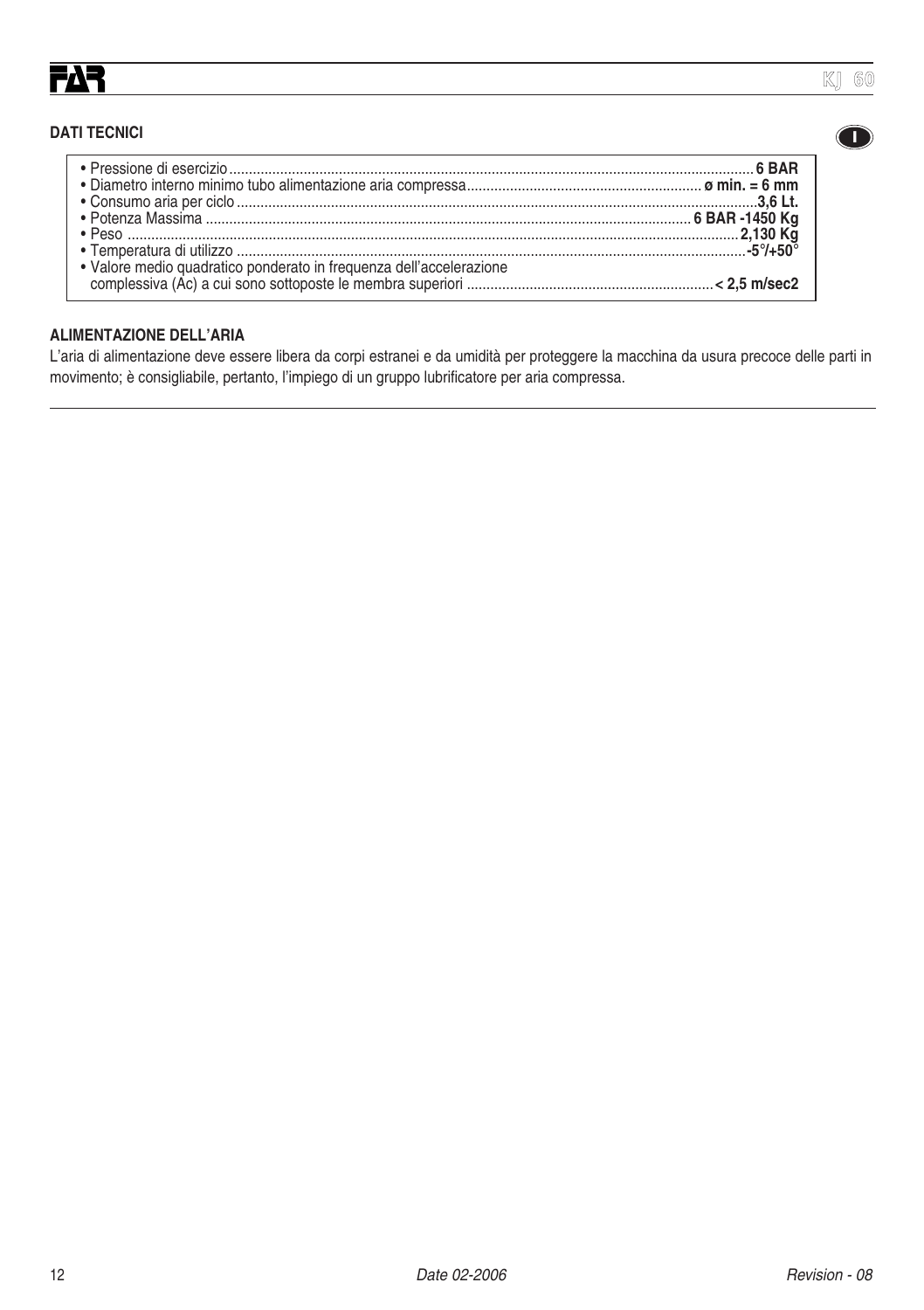**I**

#### **DATI TECNICI**

#### **ALIMENTAZIONE DELL'ARIA**

L'aria di alimentazione deve essere libera da corpi estranei e da umidità per proteggere la macchina da usura precoce delle parti in movimento; è consigliabile, pertanto, l'impiego di un gruppo lubrificatore per aria compressa.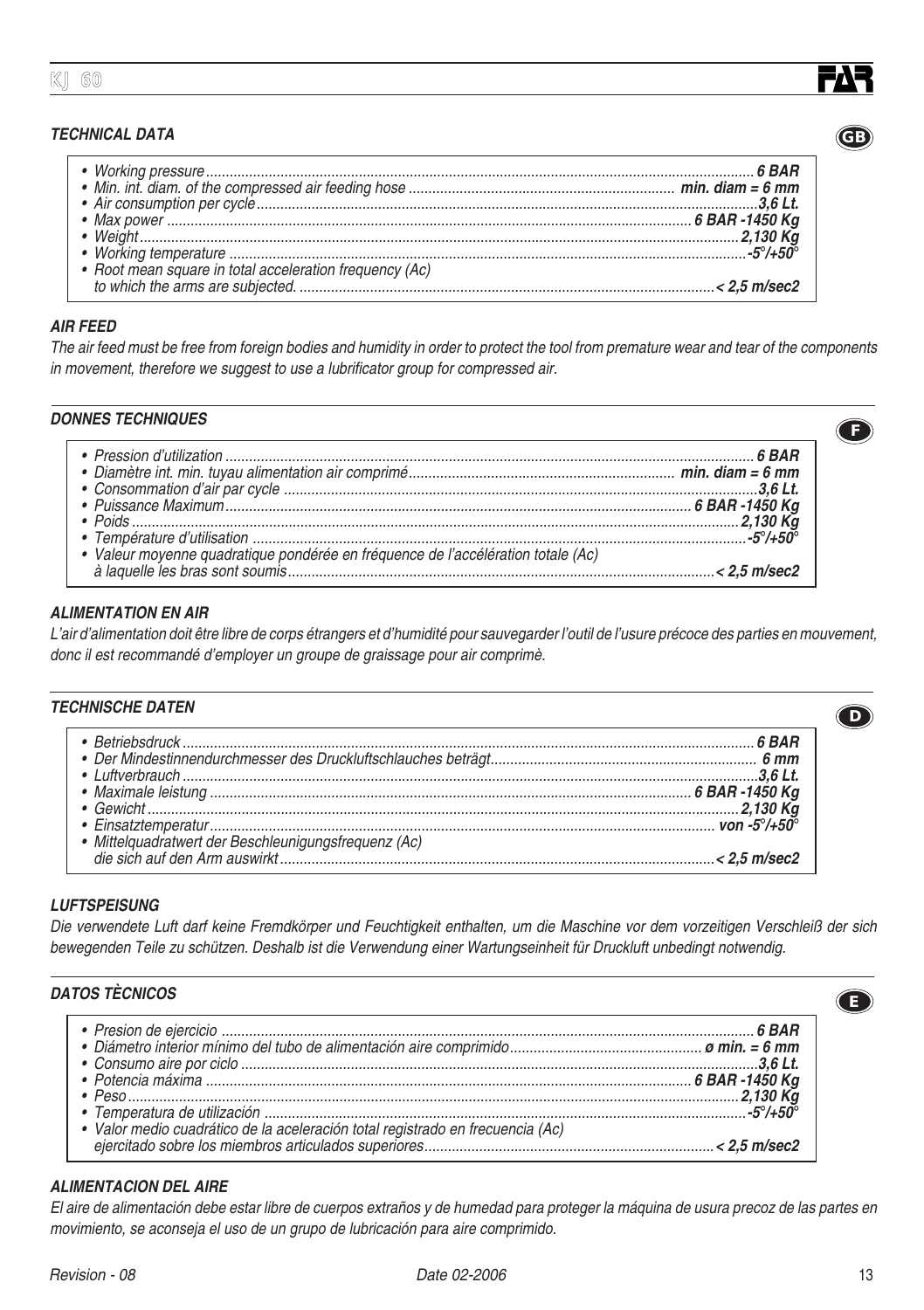#### **TECHNICAL DATA**

| Working temperature example that the state of the state of the state of the state of the state of the state of the state of the state of the state of the state of the state of the state of the state of the state of the sta |  |
|--------------------------------------------------------------------------------------------------------------------------------------------------------------------------------------------------------------------------------|--|
|                                                                                                                                                                                                                                |  |
|                                                                                                                                                                                                                                |  |
|                                                                                                                                                                                                                                |  |

#### **AIR FEED**

The air feed must be free from foreign bodies and humidity in order to protect the tool from premature wear and tear of the components in movement, therefore we suggest to use a lubrificator group for compressed air.

#### **DONNES TECHNIQUES**

#### **ALIMENTATION EN AIR**

L'air d'alimentation doit être libre de corps étrangers et d'humidité pour sauvegarder l'outil de l'usure précoce des parties en mouvement, donc il est recommandé d'employer un groupe de graissage pour air comprimè.

#### **TECHNISCHE DATEN**

| Communication control and the state of the Mindestin neutrinos and the Sun of the Mindestin neutrinos of the Sun of the Mindestin neutrinos of the Sun of the Mindestin neutrinos of the Communication of the Communication of |  |
|--------------------------------------------------------------------------------------------------------------------------------------------------------------------------------------------------------------------------------|--|
|                                                                                                                                                                                                                                |  |
|                                                                                                                                                                                                                                |  |
|                                                                                                                                                                                                                                |  |
|                                                                                                                                                                                                                                |  |
|                                                                                                                                                                                                                                |  |
|                                                                                                                                                                                                                                |  |

#### **LUFTSPEISUNG**

Die verwendete Luft darf keine Fremdkörper und Feuchtigkeit enthalten, um die Maschine vor dem vorzeitigen Verschleiß der sich bewegenden Teile zu schützen. Deshalb ist die Verwendung einer Wartungseinheit für Druckluft unbedingt notwendig.

#### **DATOS TÈCNICOS**

#### **ALIMENTACION DEL AIRE**

El aire de alimentación debe estar libre de cuerpos extraños y de humedad para proteger la máquina de usura precoz de las partes en movimiento, se aconseja el uso de un grupo de lubricación para aire comprimido.





**D**

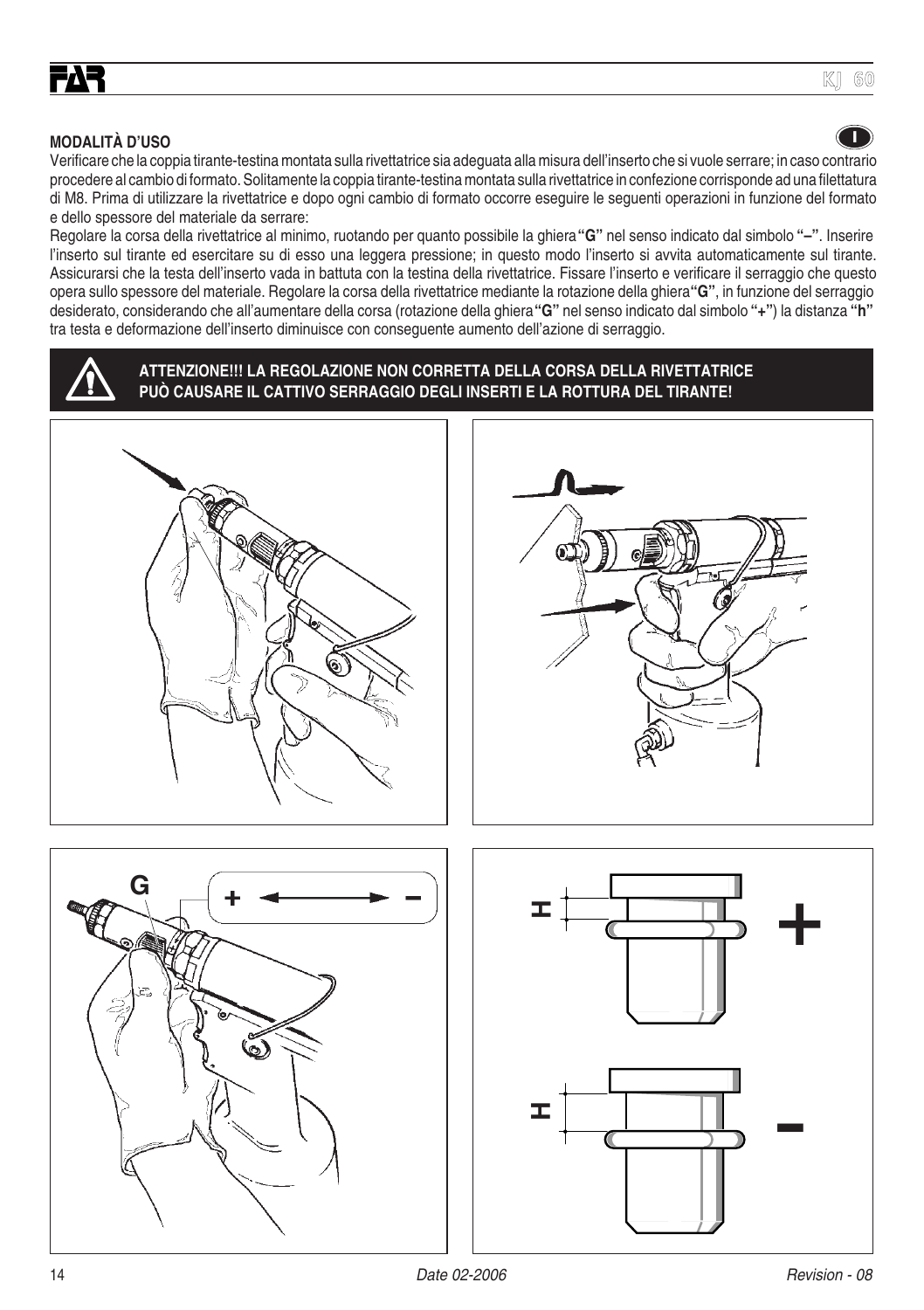# **I**

**KJ 60**

#### **MODALITÀ D'USO**

Verificare che la coppia tirante-testina montata sulla rivettatrice sia adeguata alla misura dell'inserto che si vuole serrare; in caso contrario procedere al cambio di formato. Solitamente la coppia tirante-testina montata sulla rivettatrice in confezione corrisponde ad una filettatura di M8. Prima di utilizzare la rivettatrice e dopo ogni cambio di formato occorre eseguire le seguenti operazioni in funzione del formato e dello spessore del materiale da serrare:

Regolare la corsa della rivettatrice al minimo, ruotando per quanto possibile la ghiera **"G"** nel senso indicato dal simbolo **"–"**. Inserire l'inserto sul tirante ed esercitare su di esso una leggera pressione; in questo modo l'inserto si avvita automaticamente sul tirante. Assicurarsi che la testa dell'inserto vada in battuta con la testina della rivettatrice. Fissare l'inserto e verificare il serraggio che questo opera sullo spessore del materiale. Regolare la corsa della rivettatrice mediante la rotazione della ghiera **"G"**, in funzione del serraggio desiderato, considerando che all'aumentare della corsa (rotazione della ghiera **"G"** nel senso indicato dal simbolo **"+"**) la distanza **"h"** tra testa e deformazione dell'inserto diminuisce con conseguente aumento dell'azione di serraggio.



#### **ATTENZIONE!!! LA REGOLAZIONE NON CORRETTA DELLA CORSA DELLA RIVETTATRICE PUÒ CAUSARE IL CATTIVO SERRAGGIO DEGLI INSERTI E LA ROTTURA DEL TIRANTE!**







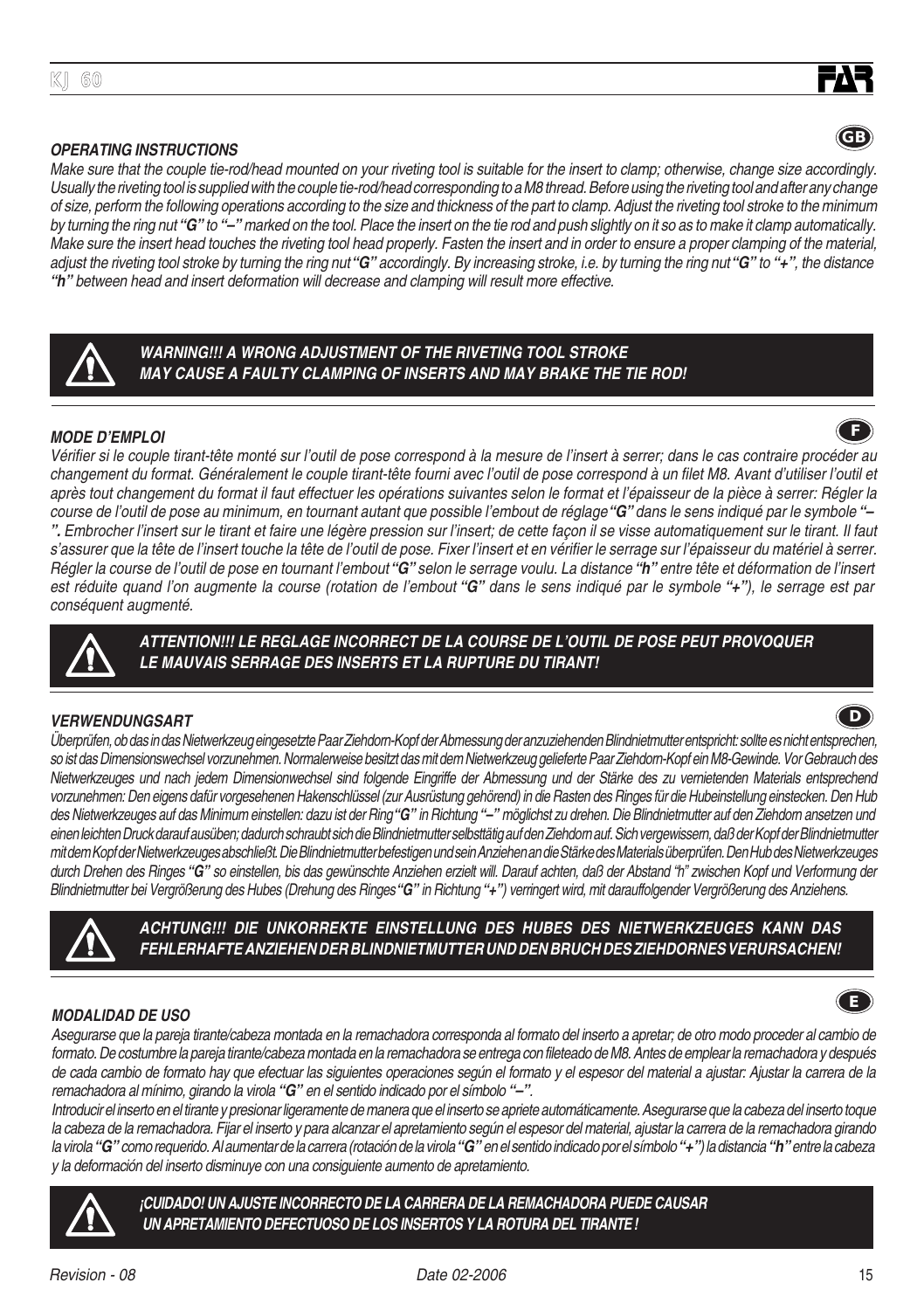**¡CUIDADO! UN AJUSTE INCORRECTO DE LA CARRERA DE LA REMACHADORA PUEDE CAUSAR UN APRETAMIENTO DEFECTUOSO DE LOS INSERTOS Y LA ROTURA DEL TIRANTE!**

## **KJ 60**

#### **OPERATING INSTRUCTIONS**

Make sure that the couple tie-rod/head mounted on your riveting tool is suitable for the insert to clamp; otherwise, change size accordingly. Usually the riveting tool is supplied with the couple tie-rod/head corresponding to a M8 thread. Before using the riveting tool and after any change of size, perform the following operations according to the size and thickness of the part to clamp. Adjust the riveting tool stroke to the minimum by turning the ring nut **"G"** to **"–"** marked on the tool. Place the insert on the tie rod and push slightly on it so as to make it clamp automatically. Make sure the insert head touches the riveting tool head properly. Fasten the insert and in order to ensure a proper clamping of the material, adjust the riveting tool stroke by turning the ring nut **"G"** accordingly. By increasing stroke, i.e. by turning the ring nut **"G"** to **"+"**, the distance **"h"** between head and insert deformation will decrease and clamping will result more effective.



**LE MAUVAIS SERRAGE DES INSERTS ET LA RUPTURE DU TIRANT!**

#### **MODE D'EMPLOI**

Vérifier si le couple tirant-tête monté sur l'outil de pose correspond à la mesure de l'insert à serrer; dans le cas contraire procéder au changement du format. Généralement le couple tirant-tête fourni avec l'outil de pose correspond à un filet M8. Avant d'utiliser l'outil et après tout changement du format il faut effectuer les opérations suivantes selon le format et l'épaisseur de la pièce à serrer: Régler la course de l'outil de pose au minimum, en tournant autant que possible l'embout de réglage **"G"** dans le sens indiqué par le symbole **"– ".** Embrocher l'insert sur le tirant et faire une légère pression sur l'insert; de cette façon il se visse automatiquement sur le tirant. Il faut <sup>s</sup>'assurer que la tête de l'insert touche la tête de l'outil de pose. Fixer l'insert et en vérifier le serrage sur l'épaisseur du matériel à serrer. Régler la course de l'outil de pose en tournant l'embout **"G"** selon le serrage voulu. La distance **"h"** entre tête et déformation de l'insert est réduite quand l'on augmente la course (rotation de l'embout **"G"** dans le sens indiqué par le symbole **"+"**), le serrage est par conséquent augmenté.

**ATTENTION!!! LE REGLAGE INCORRECT DE LA COURSE DE L'OUTIL DE POSE PEUT PROVOQUER**

## **VERWENDUNGSART**

Überprüfen, ob das in das Nietwerkzeug eingesetzte Paar Ziehdorn-Kopf der Abmessung der anzuziehenden Blindnietmutter entspricht: sollte es nicht entsprechen, so ist das Dimensionswechsel vorzunehmen. Normalerweise besitzt das mit dem Nietwerkzeug gelieferte Paar Ziehdom-Kopf ein M8-Gewinde. Vor Gebrauch des Nietwerkzeuges und nach jedem Dimensionwechsel sind folgende Eingriffe der Abmessung und der Stärke des zu vernietenden Materials entsprechend vorzunehmen: Den eigens dafür vorgesehenen Hakenschlüssel (zur Ausrüstung gehörend) in die Rasten des Ringes für die Hubeinstellung einstecken. Den Hub des Nietwerkzeuges auf das Minimum einstellen: dazu ist der Ring **"G"** in Richtung **"–"** möglichst zu drehen. Die Blindnietmutter auf den Ziehdorn ansetzen und einen leichten Druck darauf ausüben; dadurch schraubt sich die Blindnietmutter selbsttätig auf den Ziehdorn auf. Sich vergewissern, daß der Kopf der Blindnietmutter mit dem Kopf der Nietwerkzeuges abschließt. Die Blindnietmutter befestigen und sein Anziehen an die Stärke des Materials überprüfen. Den Hub des Nietwerkzeuges durch Drehen des Ringes **"G"** so einstellen, bis das gewünschte Anziehen erzielt will. Darauf achten, daß der Abstand "h" zwischen Kopf und Verformung der Blindnietmutter bei Vergrößerung des Hubes (Drehung des Ringes **"G"** in Richtung **"+"**) verringert wird, mit darauffolgender Vergrößerung des Anziehens.

> **ACHTUNG!!! DIE UNKORREKTE EINSTELLUNG DES HUBES DES NIETWERKZEUGES KANN DAS FEHLERHAFTE ANZIEHEN DER BLINDNIETMUTTER UND DEN BRUCH DES ZIEHDORNES VERURSACHEN!**



Asegurarse que la pareja tirante/cabeza montada en la remachadora corresponda al formato del inserto a apretar; de otro modo proceder al cambio de formato. De costumbre la pareja tirante/cabeza montada en la remachadora se entrega con fileteado de M8. Antes de emplear la remachadora y después de cada cambio de formato hay que efectuar las siguientes operaciones según el formato y el espesor del material a ajustar: Ajustar la carrera de la remachadora al mínimo, girando la virola **"G"** en el sentido indicado por el símbolo **"–"**.

Introducir el inserto en el tirante y presionar ligeramente de manera que el inserto se apriete automáticamente. Asegurarse que la cabeza del inserto toque la cabeza de la remachadora. Fijar el inserto y para alcanzar el apretamiento según el espesor del material, ajustar la carrera de la remachadora girando la virola **"G"** como requerido. Al aumentar de la carrera (rotación de la virola **"G"** en el sentido indicado por el símbolo **"+"**) la distancia **"h"** entre la cabeza y la deformación del inserto disminuye con una consiguiente aumento de apretamiento.







**F**

**E**



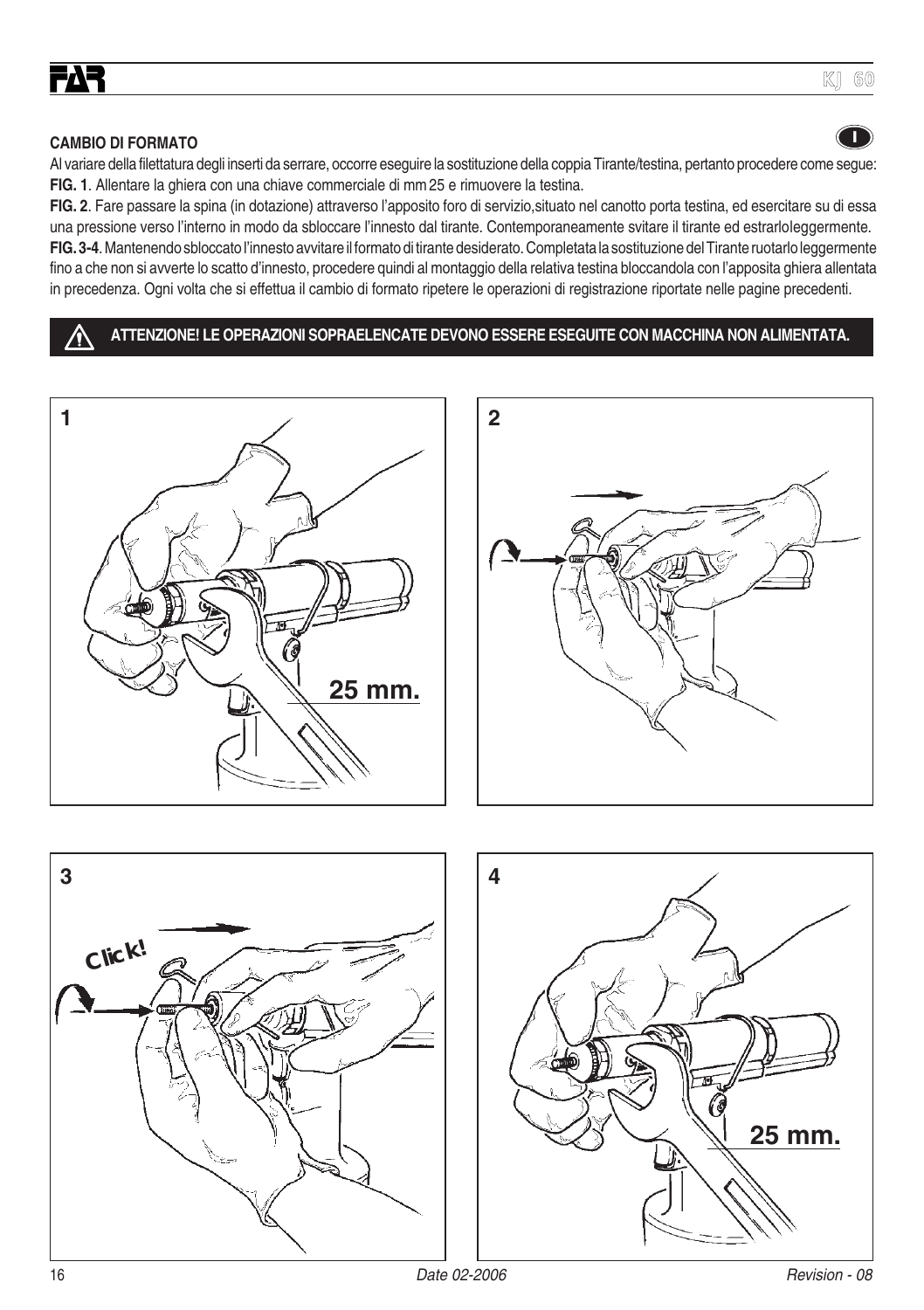#### **CAMBIO DI FORMATO**

Al variare della filettatura degli inserti da serrare, occorre eseguire la sostituzione della coppia Tirante/testina, pertanto procedere come segue: **FIG. 1**. Allentare la ghiera con una chiave commerciale di mm 25 e rimuovere la testina.

**FIG. 2**. Fare passare la spina (in dotazione) attraverso l'apposito foro di servizio,situato nel canotto porta testina, ed esercitare su di essa una pressione verso l'interno in modo da sbloccare l'innesto dal tirante. Contemporaneamente svitare il tirante ed estrarlo leggermente. **FIG. 3-4**. Mantenendo sbloccato l'innesto avvitare il formato di tirante desiderato. Completata la sostituzione del Tirante ruotarlo leggermente fino a che non si avverte lo scatto d'innesto, procedere quindi al montaggio della relativa testina bloccandola con l'apposita ghiera allentata in precedenza. Ogni volta che si effettua il cambio di formato ripetere le operazioni di registrazione riportate nelle pagine precedenti.

#### **ATTENZIONE! LE OPERAZIONI SOPRAELENCATE DEVONO ESSERE ESEGUITE CON MACCHINA NON ALIMENTATA.**







**I**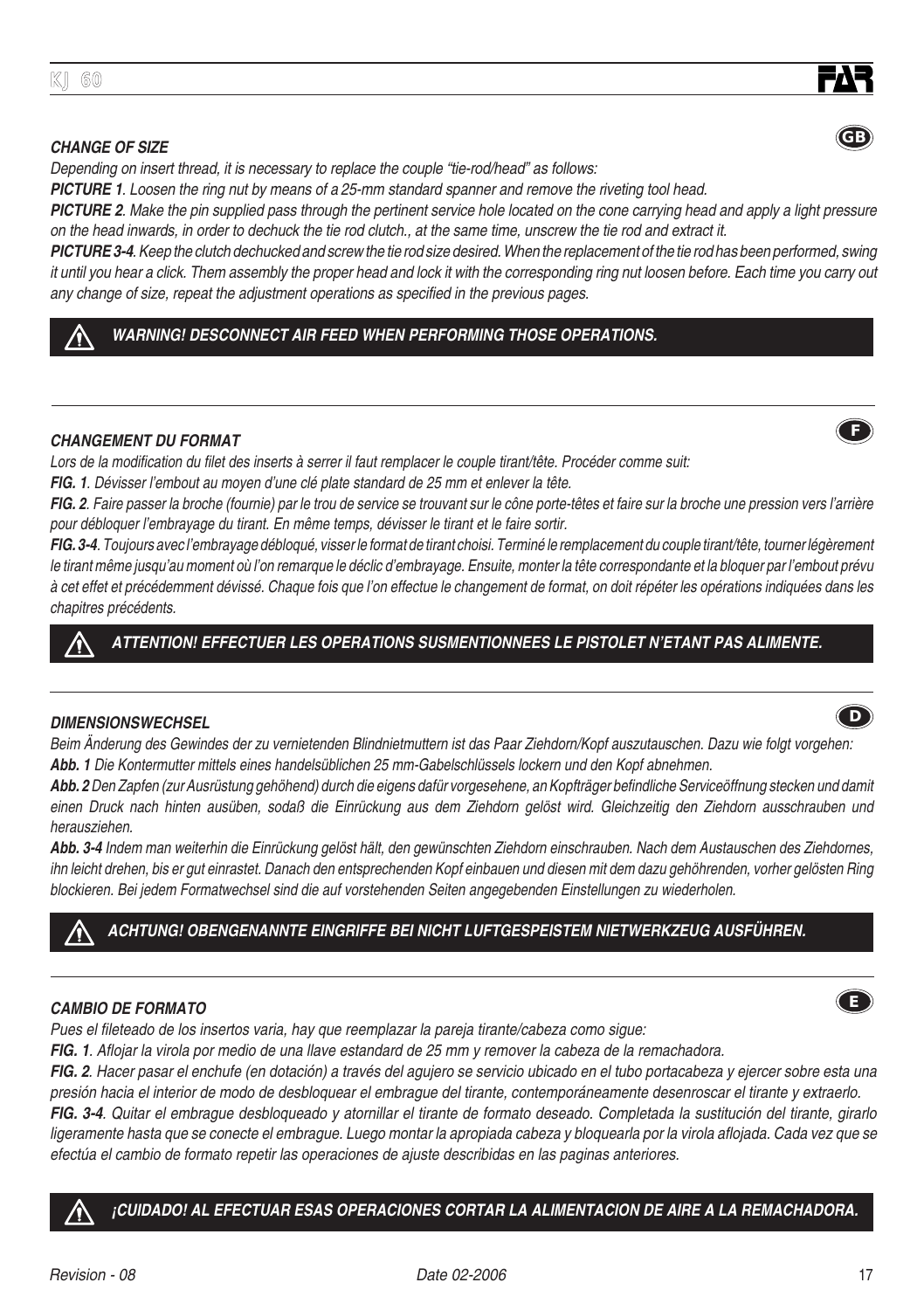#### **CHANGE OF SIZE**

Depending on insert thread, it is necessary to replace the couple "tie-rod/head" as follows:

**PICTURE 1**. Loosen the ring nut by means of a 25-mm standard spanner and remove the riveting tool head.

**PICTURE 2**. Make the pin supplied pass through the pertinent service hole located on the cone carrying head and apply a light pressure on the head inwards, in order to dechuck the tie rod clutch., at the same time, unscrew the tie rod and extract it.

**PICTURE 3-4**. Keep the clutch dechucked and screw the tie rod size desired. When the replacement of the tie rod has been performed, swing it until you hear a click. Them assembly the proper head and lock it with the corresponding ring nut loosen before. Each time you carry out any change of size, repeat the adjustment operations as specified in the previous pages.

#### **WARNING! DESCONNECT AIR FEED WHEN PERFORMING THOSE OPERATIONS.**

#### **CHANGEMENT DU FORMAT**

Lors de la modification du filet des inserts à serrer il faut remplacer le couple tirant/tête. Procéder comme suit:

**FIG. 1**. Dévisser l'embout au moyen d'une clé plate standard de 25 mm et enlever la tête.

**FIG. 2**. Faire passer la broche (fournie) par le trou de service se trouvant sur le cône porte-têtes et faire sur la broche une pression vers l'arrière pour débloquer l'embrayage du tirant. En même temps, dévisser le tirant et le faire sortir.

**FIG. 3-4**. Toujours avec l'embrayage débloqué, visser le format de tirant choisi. Terminé le remplacement du couple tirant/tête, tourner légèrement le tirant même jusqu'au moment où l'on remarque le déclic d'embrayage. Ensuite, monter la tête correspondante et la bloquer par l'embout prévu à cet effet et précédemment dévissé. Chaque fois que l'on effectue le changement de format, on doit répéter les opérations indiquées dans les chapitres précédents.

#### **ATTENTION! EFFECTUER LES OPERATIONS SUSMENTIONNEES LE PISTOLET N'ETANT PAS ALIMENTE.**

#### **DIMENSIONSWECHSEL**

Beim Änderung des Gewindes der zu vernietenden Blindnietmuttern ist das Paar Ziehdorn/Kopf auszutauschen. Dazu wie folgt vorgehen: **Abb. 1** Die Kontermutter mittels eines handelsüblichen 25 mm-Gabelschlüssels lockern und den Kopf abnehmen.

**Abb. 2** Den Zapfen (zur Ausrüstung gehöhend) durch die eigens dafür vorgesehene, an Kopfträger befindliche Serviceöffnung stecken und damit einen Druck nach hinten ausüben, sodaß die Einrückung aus dem Ziehdorn gelöst wird. Gleichzeitig den Ziehdorn ausschrauben und herausziehen.

**Abb. 3-4** Indem man weiterhin die Einrückung gelöst hält, den gewünschten Ziehdorn einschrauben. Nach dem Austauschen des Ziehdornes, ihn leicht drehen, bis er gut einrastet. Danach den entsprechenden Kopf einbauen und diesen mit dem dazu gehöhrenden, vorher gelösten Ring blockieren. Bei jedem Formatwechsel sind die auf vorstehenden Seiten angegebenden Einstellungen zu wiederholen.

#### **ACHTUNG! OBENGENANNTE EINGRIFFE BEI NICHT LUFTGESPEISTEM NIETWERKZEUG AUSFÜHREN.**

#### **CAMBIO DE FORMATO**

Pues el fileteado de los insertos varia, hay que reemplazar la pareja tirante/cabeza como sigue:

**FIG. 1**. Aflojar la virola por medio de una llave estandard de 25 mm y remover la cabeza de la remachadora.

**FIG. 2**. Hacer pasar el enchufe (en dotación) a través del agujero se servicio ubicado en el tubo portacabeza y ejercer sobre esta una presión hacia el interior de modo de desbloquear el embrague del tirante, contemporáneamente desenroscar el tirante y extraerlo.

**FIG. 3-4**. Quitar el embrague desbloqueado y atornillar el tirante de formato deseado. Completada la sustitución del tirante, girarlo ligeramente hasta que se conecte el embrague. Luego montar la apropiada cabeza y bloquearla por la virola aflojada. Cada vez que se efectúa el cambio de formato repetir las operaciones de ajuste describidas en las paginas anteriores.

## **¡CUIDADO! AL EFECTUAR ESAS OPERACIONES CORTAR LA ALIMENTACION DE AIRE A LA REMACHADORA.**





**GB**







**D**

**E**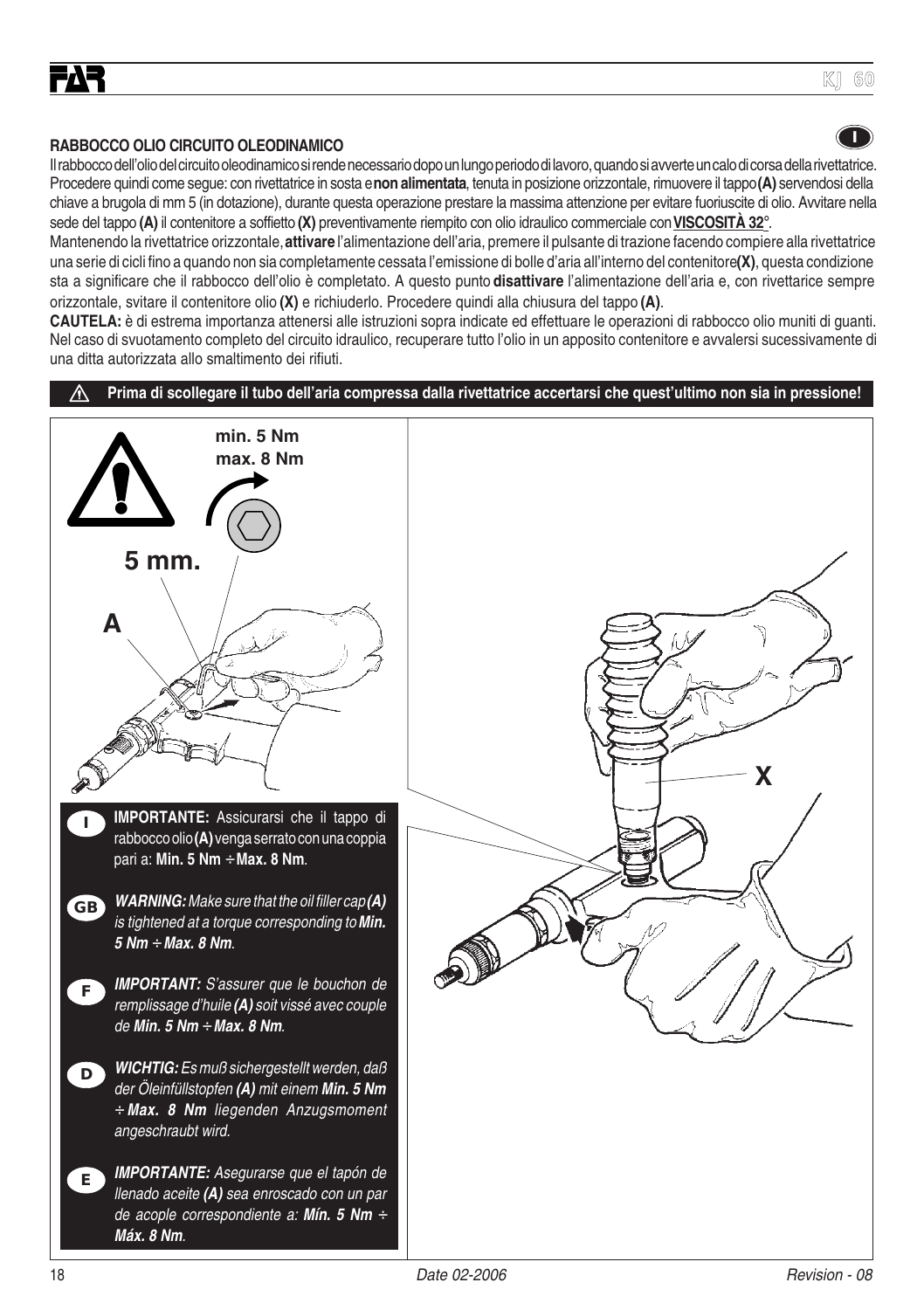#### **RABBOCCO OLIO CIRCUITO OLEODINAMICO**

Il rabbocco dell'olio del circuito oleodinamico si rende necessario dopo un lungo periodo di lavoro, quando si avverte un calo di corsa della rivettatrice. Procedere quindi come segue: con rivettatrice in sosta e **non alimentata**, tenuta in posizione orizzontale, rimuovere il tappo **(A)** servendosi della chiave a brugola di mm 5 (in dotazione), durante questa operazione prestare la massima attenzione per evitare fuoriuscite di olio. Avvitare nella sede del tappo **(A)** il contenitore a soffietto **(X)** preventivamente riempito con olio idraulico commerciale con **VISCOSITÀ 32**°.

Mantenendo la rivettatrice orizzontale, **attivare** l'alimentazione dell'aria, premere il pulsante di trazione facendo compiere alla rivettatrice una serie di cicli fino a quando non sia completamente cessata l'emissione di bolle d'aria all'interno del contenitore **(X)**, questa condizione sta a significare che il rabbocco dell'olio è completato. A questo punto **disattivare** l'alimentazione dell'aria e, con rivettarice sempre orizzontale, svitare il contenitore olio **(X)** e richiuderlo. Procedere quindi alla chiusura del tappo **(A)**.

**CAUTELA:** è di estrema importanza attenersi alle istruzioni sopra indicate ed effettuare le operazioni di rabbocco olio muniti di guanti. Nel caso di svuotamento completo del circuito idraulico, recuperare tutto l'olio in un apposito contenitore e avvalersi sucessivamente di una ditta autorizzata allo smaltimento dei rifiuti.

**Prima di scollegare il tubo dell'aria compressa dalla rivettatrice accertarsi che quest'ultimo non sia in pressione!**



**I**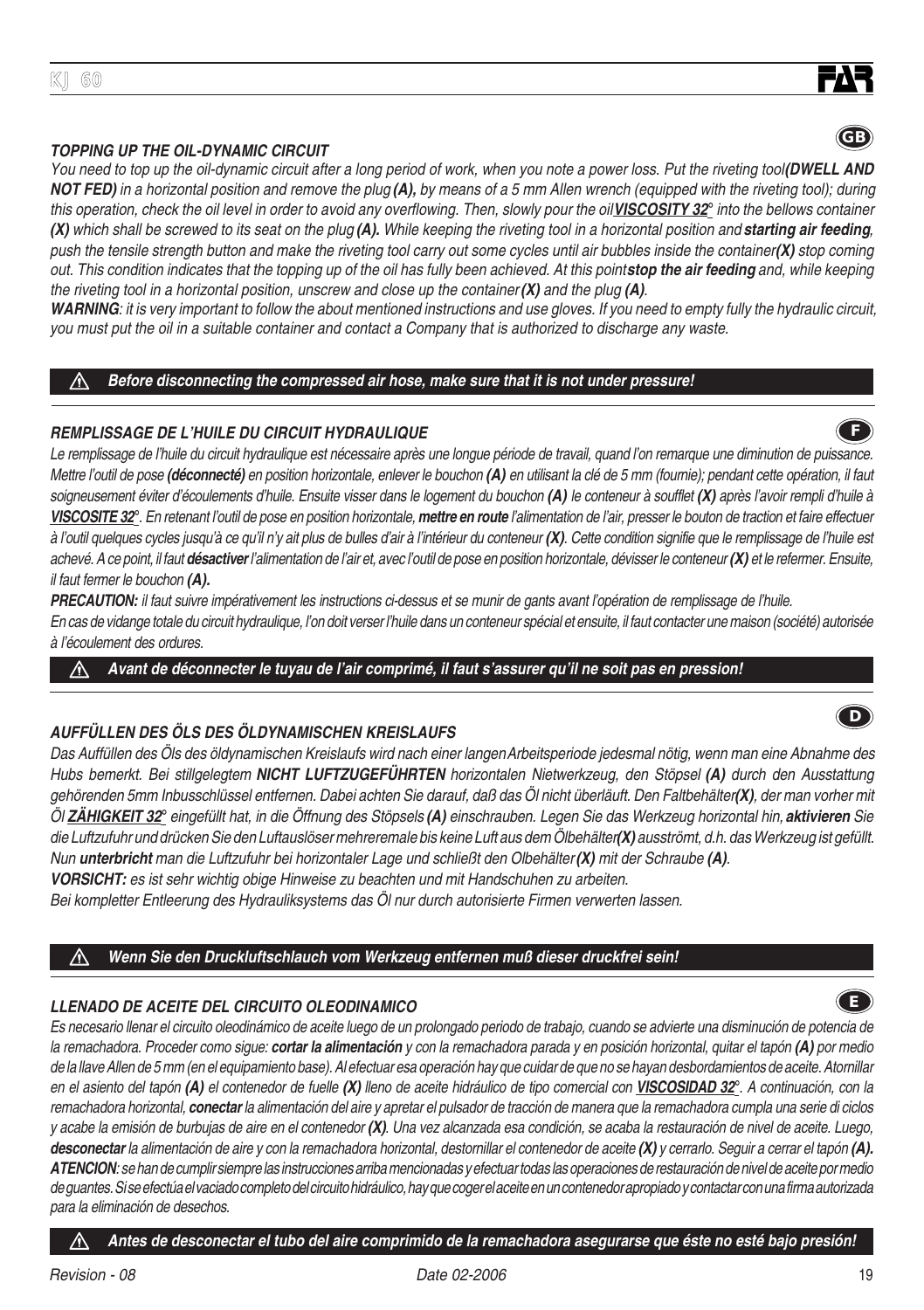## **TOPPING UP THE OIL-DYNAMIC CIRCUIT**

**KJ 60**

You need to top up the oil-dynamic circuit after a long period of work, when you note a power loss. Put the riveting tool(DWELL AND **NOT FED)** in a horizontal position and remove the plug **(A),** by means of a 5 mm Allen wrench (equipped with the riveting tool); during this operation, check the oil level in order to avoid any overflowing. Then, slowly pour the oil **VISCOSITY 32**° into the bellows container **(X)** which shall be screwed to its seat on the plug **(A).** While keeping the riveting tool in a horizontal position and **starting air feeding**, push the tensile strength button and make the riveting tool carry out some cycles until air bubbles inside the container **(X)** stop coming out. This condition indicates that the topping up of the oil has fully been achieved. At this point **stop the air feeding** and, while keeping the riveting tool in a horizontal position, unscrew and close up the container **(X)** and the plug **(A)**.

**WARNING**: it is very important to follow the about mentioned instructions and use gloves. If you need to empty fully the hydraulic circuit, you must put the oil in a suitable container and contact a Company that is authorized to discharge any waste.

#### **Before disconnecting the compressed air hose, make sure that it is not under pressure!**

#### **REMPLISSAGE DE L'HUILE DU CIRCUIT HYDRAULIQUE**

Le remplissage de l'huile du circuit hydraulique est nécessaire après une longue période de travail, quand l'on remarque une diminution de puissance. Mettre l'outil de pose **(déconnecté)** en position horizontale, enlever le bouchon **(A)** en utilisant la clé de 5 mm (fournie); pendant cette opération, il faut soigneusement éviter d'écoulements d'huile. Ensuite visser dans le logement du bouchon **(A)** le conteneur à soufflet **(X)** après l'avoir rempli d'huile à **VISCOSITE 32**°. En retenant l'outil de pose en position horizontale, **mettre en route** l'alimentation de l'air, presser le bouton de traction et faire effectuer à l'outil quelques cycles jusqu'à ce qu'il n'y ait plus de bulles d'air à l'intérieur du conteneur **(X)**. Cette condition signifie que le remplissage de l'huile est achevé. A ce point, il faut **désactiver** l'alimentation de l'air et, avec l'outil de pose en position horizontale, dévisser le conteneur **(X)** et le refermer. Ensuite, il faut fermer le bouchon **(A).**

PRECAUTION: il faut suivre impérativement les instructions ci-dessus et se munir de gants avant l'opération de remplissage de l'huile. En cas de vidange totale du circuit hydraulique, l'on doit verser l'huile dans un conteneur spécial et ensuite, il faut contacter une maison (société) autorisée à l'écoulement des ordures.

**Avant de déconnecter le tuyau de l'air comprimé, il faut s'assurer qu'il ne soit pas en pression!** ∧

## **AUFFÜLLEN DES ÖLS DES ÖLDYNAMISCHEN KREISLAUFS**

Das Auffüllen des Öls des öldynamischen Kreislaufs wird nach einer langen Arbeitsperiode jedesmal nötig, wenn man eine Abnahme des Hubs bemerkt. Bei stillgelegtem **NICHT LUFTZUGEFÜHRTEN** horizontalen Nietwerkzeug, den Stöpsel **(A)** durch den Ausstattung gehörenden 5mm Inbusschlüssel entfernen. Dabei achten Sie darauf, daß das Öl nicht überläuft. Den Faltbehälter **(X)**, der man vorher mit Öl **ZÄHIGKEIT 32**° eingefüllt hat, in die Öffnung des Stöpsels **(A)** einschrauben. Legen Sie das Werkzeug horizontal hin, **aktivieren** Sie die Luftzufuhr und drücken Sie den Luftauslöser mehreremale bis keine Luft aus dem Ölbehälter **(X)** ausströmt, d.h. das Werkzeug ist gefüllt. Nun **unterbricht** man die Luftzufuhr bei horizontaler Lage und schließt den Olbehälter **(X)** mit der Schraube **(A)**. **VORSICHT:** es ist sehr wichtig obige Hinweise zu beachten und mit Handschuhen zu arbeiten.

Bei kompletter Entleerung des Hydrauliksystems das Öl nur durch autorisierte Firmen verwerten lassen.

#### ∧ **Wenn Sie den Druckluftschlauch vom Werkzeug entfernen muß dieser druckfrei sein!**

## **LLENADO DE ACEITE DEL CIRCUITO OLEODINAMICO**

Es necesario llenar el circuito oleodinámico de aceite luego de un prolongado periodo de trabajo, cuando se advierte una disminución de potencia de la remachadora. Proceder como sigue: **cortar la alimentación** y con la remachadora parada y en posición horizontal, quitar el tapón **(A)** por medio de la llave Allen de 5 mm (en el equipamiento base). Al efectuar esa operación hay que cuidar de que no se hayan desbordamientos de aceite. Atornillar en el asiento del tapón **(A)** el contenedor de fuelle **(X)** lleno de aceite hidráulico de tipo comercial con **VISCOSIDAD 32**°. A continuación, con la remachadora horizontal, **conectar** la alimentación del aire y apretar el pulsador de tracción de manera que la remachadora cumpla una serie di ciclos y acabe la emisión de burbujas de aire en el contenedor **(X)**. Una vez alcanzada esa condición, se acaba la restauración de nivel de aceite. Luego, **desconectar** la alimentación de aire y con la remachadora horizontal, destornillar el contenedor de aceite **(X)** y cerrarlo. Seguir a cerrar el tapón **(A). ATENCION**: se han de cumplir siempre las instrucciones arriba mencionadas y efectuar todas las operaciones de restauración de nivel de aceite por medio de guantes. Si se efectúa el vaciado completo del circuito hidráulico, hay que coger el aceite en un contenedor apropiado y contactar con una firma autorizada para la eliminación de desechos.

**Antes de desconectar el tubo del aire comprimido de la remachadora asegurarse que éste no esté bajo presión!**

**E**



**GB**

**D**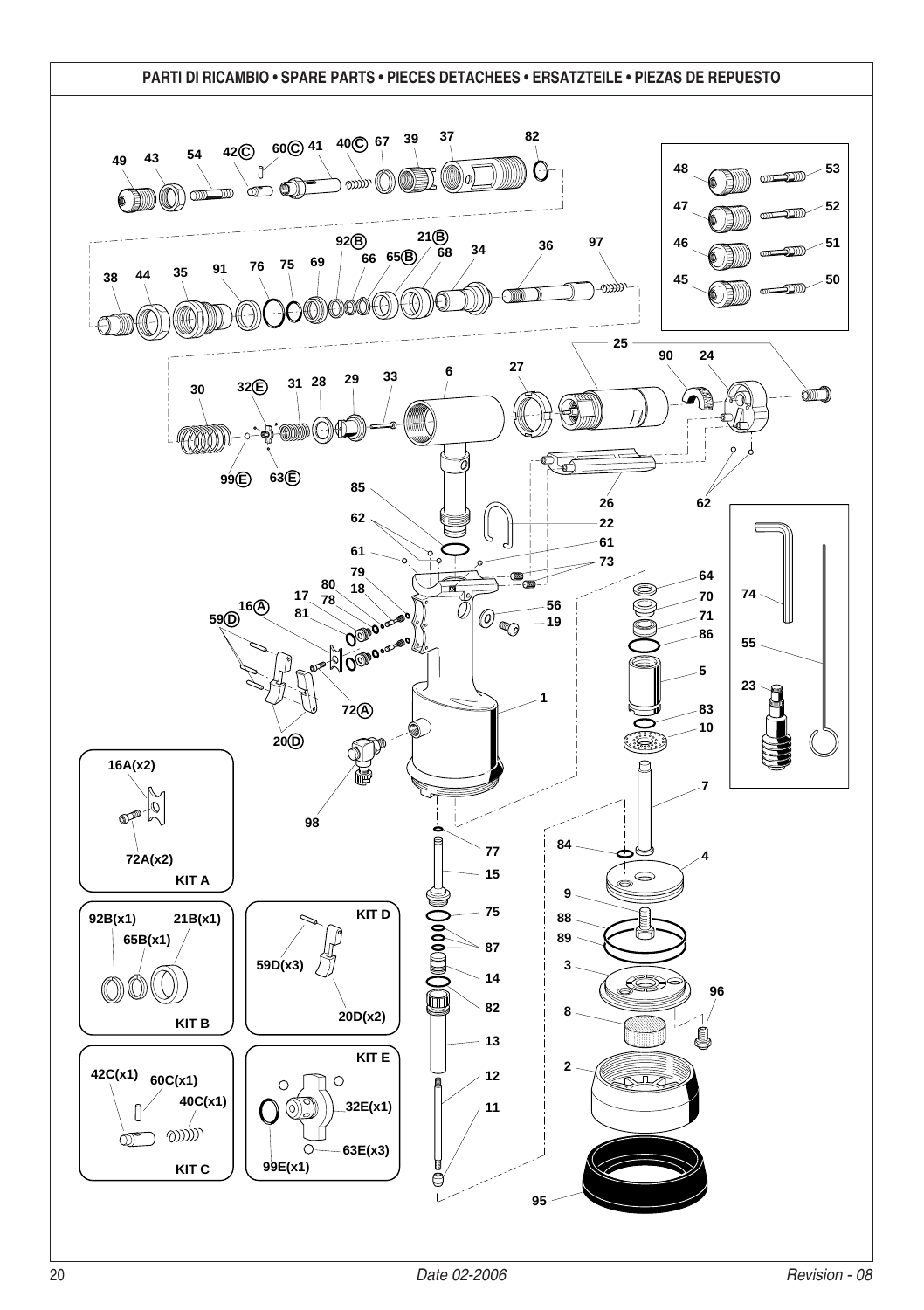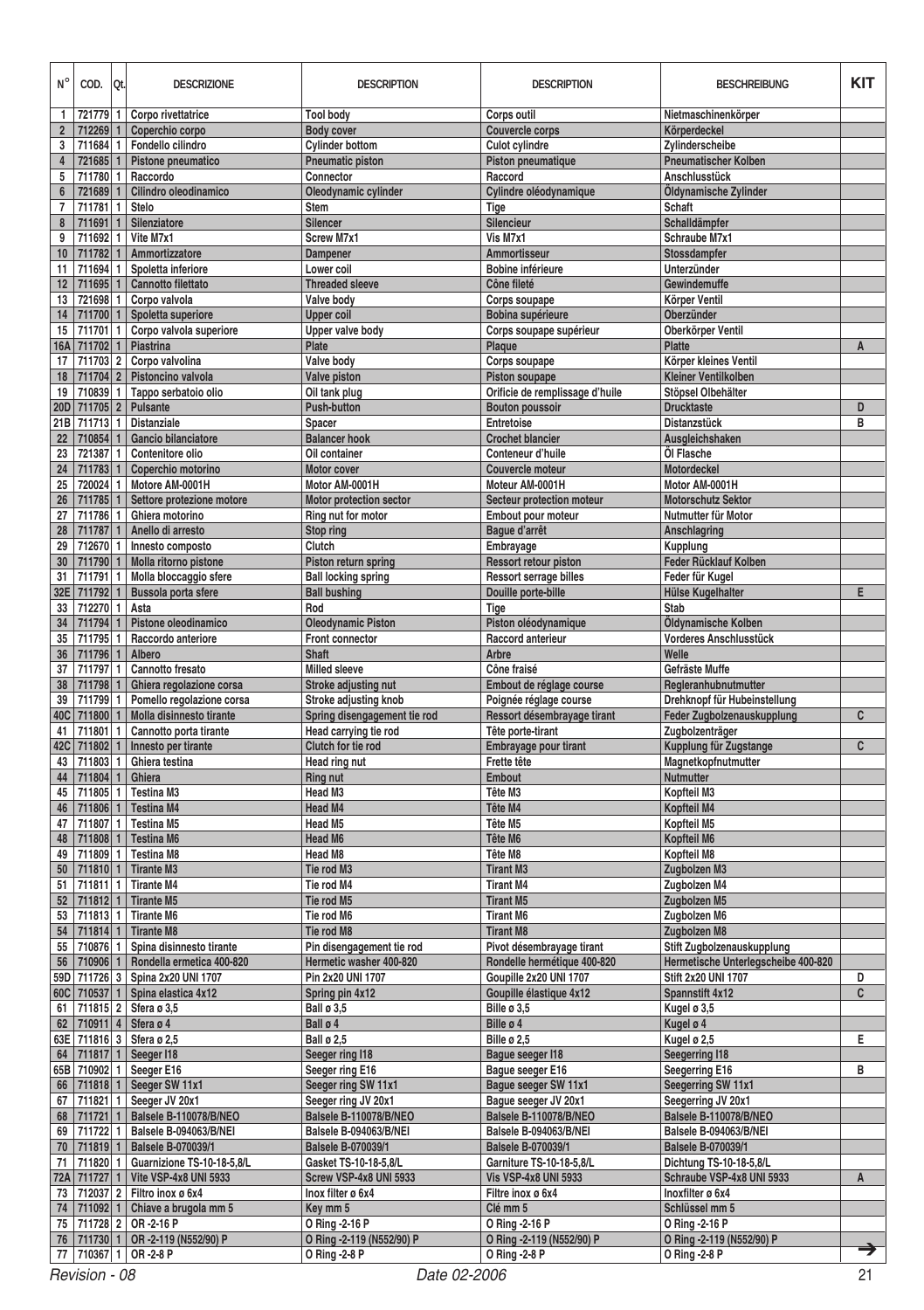| $N^{\circ}$      | COD.                                | Qt.          | <b>DESCRIZIONE</b>                                    | <b>DESCRIPTION</b>                            | <b>DESCRIPTION</b>                        | <b>BESCHREIBUNG</b>                                  | KIT            |  |  |  |
|------------------|-------------------------------------|--------------|-------------------------------------------------------|-----------------------------------------------|-------------------------------------------|------------------------------------------------------|----------------|--|--|--|
| 1                | 721779                              | 1            | Corpo rivettatrice                                    | <b>Tool body</b>                              | Corps outil                               | Nietmaschinenkörper                                  |                |  |  |  |
| $\boldsymbol{2}$ | 712269                              | $\mathbf{1}$ | Coperchio corpo                                       | <b>Body cover</b>                             | Couvercle corps                           | Körperdeckel                                         |                |  |  |  |
| 3                | 711684 1                            |              | Fondello cilindro                                     | <b>Cylinder bottom</b>                        | <b>Culot cylindre</b>                     | Zylinderscheibe                                      |                |  |  |  |
| 4                | 721685 1                            |              | Pistone pneumatico                                    | <b>Pneumatic piston</b>                       | Piston pneumatique                        | <b>Pneumatischer Kolben</b>                          |                |  |  |  |
| 5                | 711780 1                            |              | Raccordo                                              | Connector                                     | Raccord                                   | Anschlusstück                                        |                |  |  |  |
| 6                | 721689                              | $\mathbf{1}$ | Cilindro oleodinamico                                 | Oleodynamic cylinder                          | Cylindre oléodynamique                    | Öldynamische Zylinder                                |                |  |  |  |
| $\overline{7}$   | 711781 1                            |              | Stelo                                                 | Stem                                          | Tige                                      | Schaft                                               |                |  |  |  |
| 8                | 711691 1                            |              | Silenziatore                                          | Silencer                                      | Silencieur                                | Schalldämpfer                                        |                |  |  |  |
| 9                | 711692 1                            |              | Vite M7x1                                             | Screw M7x1                                    | Vis M7x1                                  | Schraube M7x1                                        |                |  |  |  |
| 10               | 711782 1                            |              | Ammortizzatore                                        | Dampener                                      | Ammortisseur                              | Stossdampfer                                         |                |  |  |  |
| 11               | 711694 1                            |              | Spoletta inferiore                                    | Lower coil                                    | Bobine inférieure                         | Unterzünder                                          |                |  |  |  |
| 12               | 711695                              | $\mathbf{1}$ | Cannotto filettato                                    | <b>Threaded sleeve</b>                        | Cône fileté                               | Gewindemuffe                                         |                |  |  |  |
| 13               | 721698 1                            |              | Corpo valvola                                         | Valve body                                    | Corps soupape                             | Körper Ventil                                        |                |  |  |  |
| 14               | 711700 1                            |              | Spoletta superiore                                    | <b>Upper coil</b>                             | Bobina supérieure                         | Oberzünder                                           |                |  |  |  |
| 15               | 711701                              | $\mathbf{1}$ | Corpo valvola superiore                               | Upper valve body                              | Corps soupape supérieur                   | Oberkörper Ventil                                    |                |  |  |  |
| <b>16A</b>       | 711702 1                            |              | Piastrina                                             | Plate                                         | Plaque                                    | <b>Platte</b>                                        | A              |  |  |  |
| 17               | 711703 2                            |              | Corpo valvolina                                       | Valve body                                    | Corps soupape                             | Körper kleines Ventil                                |                |  |  |  |
| 18               | 711704 2                            |              | Pistoncino valvola                                    | Valve piston                                  | Piston soupape                            | Kleiner Ventilkolben                                 |                |  |  |  |
| 19               | 710839 1                            |              | Tappo serbatoio olio                                  | Oil tank plug                                 | Orificie de remplissage d'huile           | Stöpsel Olbehälter                                   |                |  |  |  |
| <b>20D</b>       | 711705 2                            |              | Pulsante                                              | Push-button                                   | <b>Bouton poussoir</b>                    | <b>Drucktaste</b>                                    | D              |  |  |  |
| 21B              | 711713 1                            |              | <b>Distanziale</b>                                    | Spacer                                        | <b>Entretoise</b>                         | Distanzstück                                         | В              |  |  |  |
| 22               | 710854 1                            |              | Gancio bilanciatore                                   | <b>Balancer hook</b>                          | <b>Crochet blancier</b>                   | Ausgleichshaken                                      |                |  |  |  |
| 23               | 721387                              | $\mathbf{1}$ | Contenitore olio                                      | Oil container                                 | Conteneur d'huile                         | Öl Flasche                                           |                |  |  |  |
| 24               | 711783                              | $\mathbf{1}$ | Coperchio motorino                                    | Motor cover                                   | Couvercle moteur                          | Motordeckel                                          |                |  |  |  |
| 25               | 720024 1                            |              | Motore AM-0001H                                       | Motor AM-0001H                                | Moteur AM-0001H                           | Motor AM-0001H                                       |                |  |  |  |
| 26               | 711785 1                            |              | Settore protezione motore                             | Motor protection sector                       | Secteur protection moteur                 | <b>Motorschutz Sektor</b>                            |                |  |  |  |
| 27               | 711786 1                            |              | Ghiera motorino                                       | Ring nut for motor                            | Embout pour moteur                        | Nutmutter für Motor                                  |                |  |  |  |
| 28               | 711787 1                            |              | Anello di arresto                                     | Stop ring                                     | Baque d'arrêt                             | Anschlagring                                         |                |  |  |  |
| 29               | 712670 1                            |              | Innesto composto                                      | Clutch                                        | Embrayage                                 | Kupplung                                             |                |  |  |  |
| 30               | 711790                              | $\mathbf{1}$ | Molla ritorno pistone                                 | Piston return spring                          | <b>Ressort retour piston</b>              | Feder Rücklauf Kolben                                |                |  |  |  |
| 31               | 711791 1                            |              | Molla bloccaggio sfere                                | <b>Ball locking spring</b>                    | <b>Ressort serrage billes</b>             | Feder für Kugel                                      |                |  |  |  |
| 32E              | 711792 1                            |              | Bussola porta sfere                                   | <b>Ball bushing</b>                           | Douille porte-bille                       | <b>Hülse Kugelhalter</b>                             | E              |  |  |  |
| 33               | 712270 1                            |              | Asta                                                  | Rod                                           | Tige                                      | Stab                                                 |                |  |  |  |
| 34               | 711794 1                            |              | Pistone oleodinamico<br>Raccordo anteriore            | <b>Oleodynamic Piston</b>                     | Piston oléodynamique<br>Raccord anterieur | Öldynamische Kolben                                  |                |  |  |  |
| 35               | 711795 1                            |              |                                                       | Front connector<br><b>Shaft</b>               | Arbre                                     | Vorderes Anschlusstück<br>Welle                      |                |  |  |  |
| 36<br>37         | 711796 1                            |              | Albero<br>Cannotto fresato                            | <b>Milled sleeve</b>                          |                                           |                                                      |                |  |  |  |
|                  | 711797 1<br>711798 1                |              |                                                       |                                               | Cône fraisé<br>Embout de réglage course   | Gefräste Muffe                                       |                |  |  |  |
| 38<br>39         | 711799 1                            |              | Ghiera regolazione corsa<br>Pomello regolazione corsa | Stroke adjusting nut<br>Stroke adjusting knob | Poignée réglage course                    | Regleranhubnutmutter<br>Drehknopf für Hubeinstellung |                |  |  |  |
| 40C              | 711800 1                            |              | Molla disinnesto tirante                              | Spring disengagement tie rod                  | Ressort désembrayage tirant               | Feder Zugbolzenauskupplung                           | C              |  |  |  |
| 41               | 711801 1                            |              | Cannotto porta tirante                                | Head carrying tie rod                         | Tête porte-tirant                         | Zugbolzenträger                                      |                |  |  |  |
| 42C              | 711802 1                            |              | Innesto per tirante                                   | Clutch for tie rod                            | Embrayage pour tirant                     | Kupplung für Zugstange                               | $\overline{c}$ |  |  |  |
| 43               | 711803 1                            |              | Ghiera testina                                        | <b>Head ring nut</b>                          | Frette tête                               | Magnetkopfnutmutter                                  |                |  |  |  |
| 44               | 711804 1                            |              | Ghiera                                                | <b>Ring nut</b>                               | Embout                                    | Nutmutter                                            |                |  |  |  |
| 45               | 711805 1                            |              | <b>Testina M3</b>                                     | Head M3                                       | Tête M3                                   | Kopfteil M3                                          |                |  |  |  |
| 46               | 711806 1                            |              | <b>Testina M4</b>                                     | Head M4                                       | Tête M4                                   | Kopfteil M4                                          |                |  |  |  |
| 47               | 711807 1                            |              | <b>Testina M5</b>                                     | Head M5                                       | Tête M5                                   | Kopfteil M5                                          |                |  |  |  |
| 48               | 711808                              | $\mathbf{1}$ | <b>Testina M6</b>                                     | <b>Head M6</b>                                | Tête M6                                   | Kopfteil M6                                          |                |  |  |  |
| 49               | 711809 1                            |              | <b>Testina M8</b>                                     | Head M8                                       | Tête M8                                   | Kopfteil M8                                          |                |  |  |  |
| 50               | 711810 1                            |              | <b>Tirante M3</b>                                     | Tie rod M3                                    | <b>Tirant M3</b>                          | Zugbolzen M3                                         |                |  |  |  |
| 51               | 711811 1                            |              | <b>Tirante M4</b>                                     | Tie rod M4                                    | <b>Tirant M4</b>                          | Zugbolzen M4                                         |                |  |  |  |
| 52               | 711812 1                            |              | <b>Tirante M5</b>                                     | Tie rod M5                                    | <b>Tirant M5</b>                          | Zugbolzen M5                                         |                |  |  |  |
| 53               | 711813 1                            |              | <b>Tirante M6</b>                                     | Tie rod M6                                    | <b>Tirant M6</b>                          | Zugbolzen M6                                         |                |  |  |  |
| 54               | 711814 1                            |              | <b>Tirante M8</b>                                     | Tie rod M8                                    | <b>Tirant M8</b>                          | Zugbolzen M8                                         |                |  |  |  |
| 55               | 710876                              | 1            | Spina disinnesto tirante                              | Pin disengagement tie rod                     | Pivot désembrayage tirant                 | Stift Zugbolzenauskupplung                           |                |  |  |  |
| 56               | 710906 1                            |              | Rondella ermetica 400-820                             | Hermetic washer 400-820                       | Rondelle hermétique 400-820               | Hermetische Unterlegscheibe 400-820                  |                |  |  |  |
| 59D              | 711726 3                            |              | Spina 2x20 UNI 1707                                   | Pin 2x20 UNI 1707                             | Goupille 2x20 UNI 1707                    | <b>Stift 2x20 UNI 1707</b>                           | D              |  |  |  |
| 60C              | 710537 1                            |              | Spina elastica 4x12                                   | Spring pin 4x12                               | Goupille élastique 4x12                   | Spannstift 4x12                                      | $\overline{c}$ |  |  |  |
| 61               | 711815 2                            |              | Sfera ø 3,5                                           | <b>Ball ø 3.5</b>                             | Bille ø 3,5                               | Kugel ø 3,5                                          |                |  |  |  |
| 62               | 710911 4                            |              | Sfera ø 4                                             | Ball ø 4                                      | Bille ø 4                                 | Kugel ø 4                                            |                |  |  |  |
| 63E              |                                     |              | 711816 3 Sfera ø 2,5                                  | <b>Ball ø 2,5</b>                             | Bille ø 2,5                               | Kugel ø 2,5                                          | E              |  |  |  |
|                  |                                     |              | 64   711817   1   Seeger I18                          | Seeger ring I18                               | Bague seeger I18                          | <b>Seegerring I18</b>                                |                |  |  |  |
|                  |                                     |              | 65B 710902 1   Seeger E16                             | Seeger ring E16                               | Baque seeger E16                          | Seegerring E16                                       | в              |  |  |  |
|                  |                                     |              | 66   711818   1   Seeger SW 11x1                      | Seeger ring SW 11x1                           | Baque seeger SW 11x1                      | Seegerring SW 11x1                                   |                |  |  |  |
|                  | 67 711821 1                         |              | Seeger JV 20x1                                        | Seeger ring JV 20x1                           | Baque seeger JV 20x1                      | Seegerring JV 20x1                                   |                |  |  |  |
|                  | 68 711721 1                         |              | Balsele B-110078/B/NEO                                | Balsele B-110078/B/NEO                        | Balsele B-110078/B/NEO                    | Balsele B-110078/B/NEO                               |                |  |  |  |
|                  |                                     |              | 69 711722 1 Balsele B-094063/B/NEI                    | Balsele B-094063/B/NEI                        | Balsele B-094063/B/NEI                    | Balsele B-094063/B/NEI                               |                |  |  |  |
| 70               | 711819 1                            |              | <b>Balsele B-070039/1</b>                             | <b>Balsele B-070039/1</b>                     | <b>Balsele B-070039/1</b>                 | <b>Balsele B-070039/1</b>                            |                |  |  |  |
| 71               |                                     |              | 711820 1 Guarnizione TS-10-18-5,8/L                   | Gasket TS-10-18-5,8/L                         | Garniture TS-10-18-5.8/L                  | Dichtung TS-10-18-5,8/L                              |                |  |  |  |
|                  |                                     |              | 72A 711727 1 Vite VSP-4x8 UNI 5933                    | Screw VSP-4x8 UNI 5933                        | <b>Vis VSP-4x8 UNI 5933</b>               | Schraube VSP-4x8 UNI 5933                            | A              |  |  |  |
|                  |                                     |              | 73 712037 2 Filtro inox ø 6x4                         | Inox filter ø 6x4                             | Filtre inox ø 6x4                         | Inoxfilter ø 6x4                                     |                |  |  |  |
|                  | 74 711092 1                         |              | Chiave a brugola mm 5                                 | Key mm 5                                      | Clé mm 5                                  | Schlüssel mm 5                                       |                |  |  |  |
|                  |                                     |              | 75   711728   2   OR -2-16 P                          | O Ring -2-16 P                                | O Ring -2-16 P                            | O Ring -2-16 P                                       |                |  |  |  |
| 76               | 711730 1                            |              | OR-2-119 (N552/90) P                                  | O Ring -2-119 (N552/90) P                     | O Ring -2-119 (N552/90) P                 | O Ring -2-119 (N552/90) P                            |                |  |  |  |
|                  |                                     |              | 77 710367 1 OR -2-8 P                                 | O Ring -2-8 P                                 | O Ring -2-8 P                             | O Ring -2-8 P                                        | →              |  |  |  |
|                  | 21<br>Date 02-2006<br>Revision - 08 |              |                                                       |                                               |                                           |                                                      |                |  |  |  |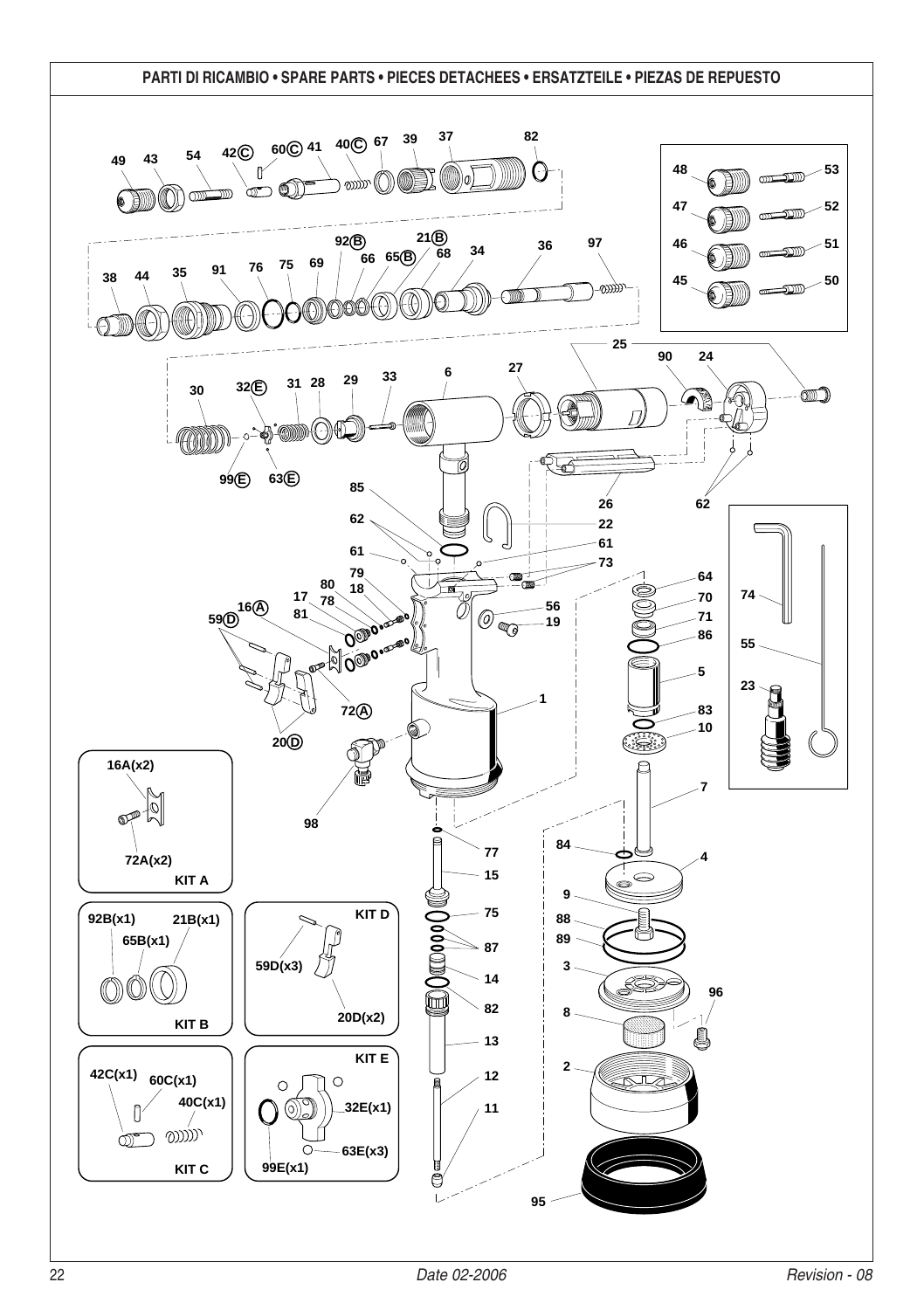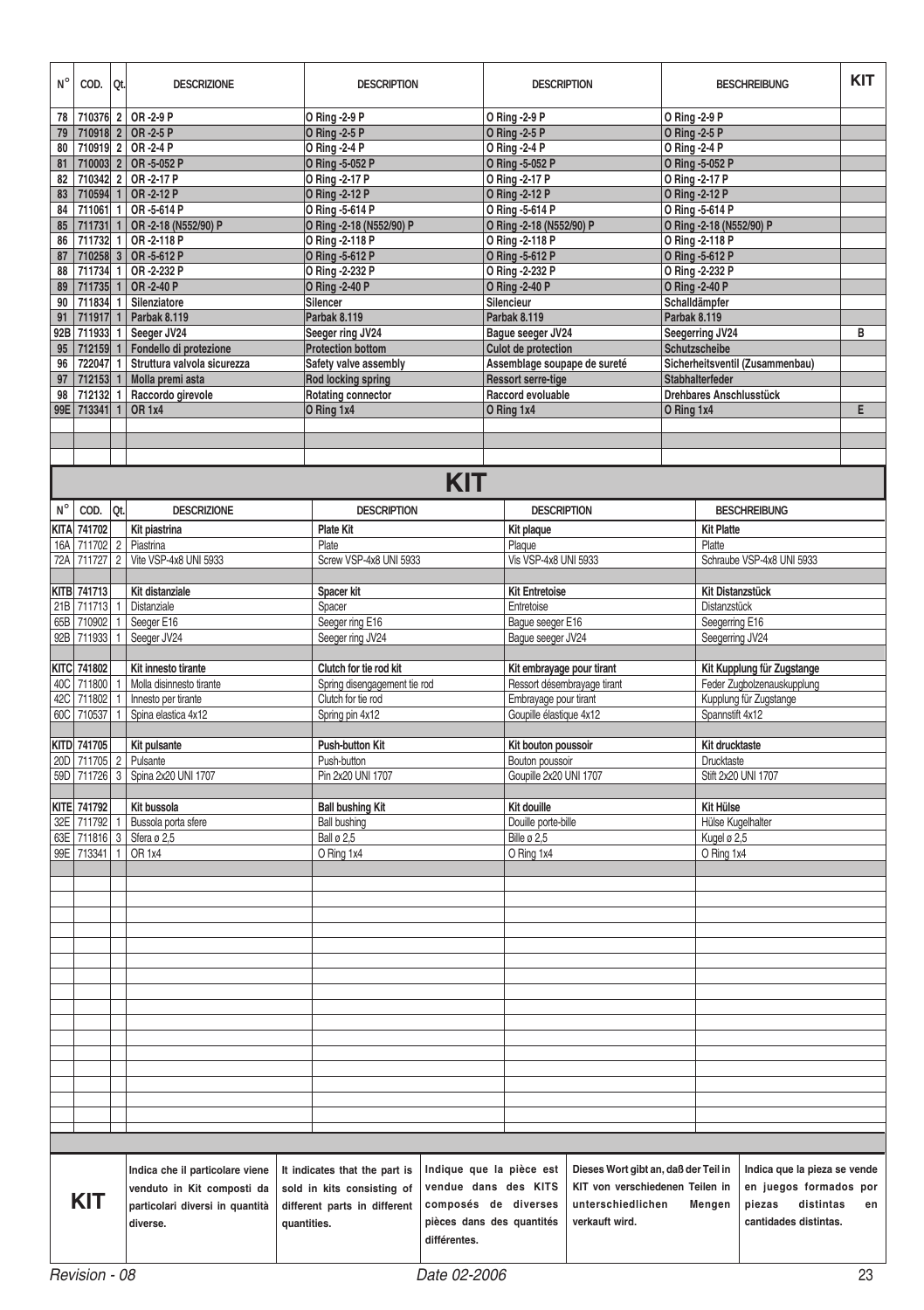| $N^{\circ}$ | COD.          | Qt. | <b>DESCRIZIONE</b>                            |             | <b>DESCRIPTION</b>            |                           | <b>DESCRIPTION</b>           |                                      |                                 | <b>BESCHREIBUNG</b>        |                              | <b>KIT</b> |
|-------------|---------------|-----|-----------------------------------------------|-------------|-------------------------------|---------------------------|------------------------------|--------------------------------------|---------------------------------|----------------------------|------------------------------|------------|
| 78          | 710376 2      |     | OR-2-9 P                                      |             | O Ring -2-9 P                 |                           | O Ring -2-9 P                |                                      | O Ring -2-9 P                   |                            |                              |            |
| 79          | 710918 2      |     | OR-2-5 P                                      |             | O Ring -2-5 P                 |                           | O Ring -2-5 P                |                                      | <b>O</b> Ring -2-5 P            |                            |                              |            |
| 80          |               |     | 710919 2 OR-2-4 P                             |             | O Ring -2-4 P                 |                           | O Ring -2-4 P                |                                      | O Ring -2-4 P                   |                            |                              |            |
| 81          |               |     | 710003 2 OR -5-052 P                          |             | O Ring -5-052 P               |                           | O Ring -5-052 P              |                                      | O Ring -5-052 P                 |                            |                              |            |
|             |               |     | 82 710342 2 OR-2-17 P                         |             | O Ring -2-17 P                |                           | O Ring -2-17 P               |                                      | O Ring -2-17 P                  |                            |                              |            |
| 83          | 710594 1      |     | OR-2-12 P                                     |             | O Ring -2-12 P                |                           | O Ring - 2-12 P              |                                      | O Ring -2-12 P                  |                            |                              |            |
|             |               |     | 84   711061   1   OR -5-614 P                 |             | O Ring -5-614 P               |                           | O Ring -5-614 P              |                                      | O Ring -5-614 P                 |                            |                              |            |
| 85          |               |     | 711731 1 OR -2-18 (N552/90) P                 |             | O Ring -2-18 (N552/90) P      |                           | O Ring -2-18 (N552/90) P     |                                      | O Ring -2-18 (N552/90) P        |                            |                              |            |
| 86          |               |     | 711732 1 OR-2-118 P                           |             | O Ring -2-118 P               |                           | O Ring -2-118 P              |                                      | O Ring -2-118 P                 |                            |                              |            |
| 87          |               |     | 710258 3 OR -5-612 P                          |             | O Ring -5-612 P               |                           | O Ring -5-612 P              |                                      | O Ring -5-612 P                 |                            |                              |            |
|             |               |     | 88 711734 1 OR-2-232 P                        |             | O Ring -2-232 P               |                           | O Ring -2-232 P              |                                      | O Ring -2-232 P                 |                            |                              |            |
| 89          | 711735 1      |     | OR-2-40 P                                     |             | O Ring -2-40 P                |                           | O Ring -2-40 P               |                                      | O Ring -2-40 P                  |                            |                              |            |
| 90          |               |     | 711834 1 Silenziatore                         |             | Silencer                      |                           | Silencieur                   |                                      | Schalldämpfer                   |                            |                              |            |
| 91          | 711917 1      |     | Parbak 8.119                                  |             | Parbak 8.119                  |                           | Parbak 8.119                 |                                      | Parbak 8.119                    |                            |                              |            |
|             |               |     | 92B 711933 1 Seeger JV24                      |             | Seeger ring JV24              |                           | Bague seeger JV24            |                                      | Seegerring JV24                 |                            |                              | В          |
|             |               |     | 95   712159   1   Fondello di protezione      |             | <b>Protection bottom</b>      |                           |                              | Culot de protection                  |                                 | Schutzscheibe              |                              |            |
|             |               |     | 96   722047   1   Struttura valvola sicurezza |             | Safety valve assembly         |                           | Assemblage soupape de sureté |                                      | Sicherheitsventil (Zusammenbau) |                            |                              |            |
| 97          |               |     | 712153 1 Molla premi asta                     |             | <b>Rod locking spring</b>     |                           | <b>Ressort serre-tige</b>    |                                      |                                 | Stabhalterfeder            |                              |            |
| 98          |               |     | 712132 1 Raccordo girevole                    |             | <b>Rotating connector</b>     |                           | Raccord evoluable            |                                      |                                 | Drehbares Anschlusstück    |                              |            |
|             | 99E 713341 1  |     | OR 1x4                                        |             | O Ring 1x4                    |                           | O Ring 1x4                   |                                      | O Ring 1x4                      |                            |                              | E          |
|             |               |     |                                               |             |                               |                           |                              |                                      |                                 |                            |                              |            |
|             |               |     |                                               |             |                               |                           |                              |                                      |                                 |                            |                              |            |
|             |               |     |                                               |             |                               |                           |                              |                                      |                                 |                            |                              |            |
|             |               |     |                                               |             |                               | <b>KIT</b>                |                              |                                      |                                 |                            |                              |            |
|             |               |     |                                               |             |                               |                           |                              |                                      |                                 |                            |                              |            |
| $N^{\circ}$ | COD.          | Qt. | <b>DESCRIZIONE</b>                            |             | <b>DESCRIPTION</b>            |                           | <b>DESCRIPTION</b>           |                                      |                                 | <b>BESCHREIBUNG</b>        |                              |            |
| KITA        | 741702        |     | Kit piastrina                                 |             | Plate Kit                     |                           | Kit plaque                   |                                      |                                 | <b>Kit Platte</b>          |                              |            |
| 16A         | 711702 2      |     | Piastrina                                     |             | Plate                         |                           | Plaque                       |                                      | Platte                          |                            |                              |            |
| 72A         | 711727 2      |     | Vite VSP-4x8 UNI 5933                         |             | Screw VSP-4x8 UNI 5933        |                           | Vis VSP-4x8 UNI 5933         |                                      |                                 | Schraube VSP-4x8 UNI 5933  |                              |            |
|             |               |     |                                               |             |                               |                           |                              |                                      |                                 |                            |                              |            |
|             | KITB 741713   |     | Kit distanziale                               |             | Spacer kit                    |                           | <b>Kit Entretoise</b>        |                                      |                                 | <b>Kit Distanzstück</b>    |                              |            |
|             | 21B 711713 1  |     | Distanziale                                   |             | Spacer                        |                           | Entretoise                   |                                      |                                 | Distanzstück               |                              |            |
| 65B         | 710902 1      |     | Seeger E16                                    |             | Seeger ring E16               |                           | Bague seeger E16             |                                      |                                 | Seegerring E16             |                              |            |
|             | 92B 711933 1  |     | Seeger JV24                                   |             | Seeger ring JV24              |                           | Bague seeger JV24            |                                      |                                 | Seegerring JV24            |                              |            |
|             |               |     |                                               |             |                               |                           |                              |                                      |                                 |                            |                              |            |
|             | KITC 741802   |     | Kit innesto tirante                           |             | Clutch for tie rod kit        |                           | Kit embrayage pour tirant    |                                      |                                 | Kit Kupplung für Zugstange |                              |            |
|             | 40C 711800 1  |     | Molla disinnesto tirante                      |             | Spring disengagement tie rod  |                           |                              | Ressort désembrayage tirant          |                                 | Feder Zugbolzenauskupplung |                              |            |
| 42C         | 711802 1      |     | Innesto per tirante                           |             | Clutch for tie rod            |                           | Embrayage pour tirant        |                                      |                                 | Kupplung für Zugstange     |                              |            |
| 60C         | 710537 1      |     | Spina elastica 4x12                           |             | Spring pin 4x12               |                           | Goupille élastique 4x12      |                                      |                                 | Spannstift 4x12            |                              |            |
|             |               |     |                                               |             |                               |                           |                              |                                      |                                 |                            |                              |            |
|             | KITD 741705   |     | Kit pulsante                                  |             | Push-button Kit               |                           | Kit bouton poussoir          |                                      |                                 | Kit drucktaste             |                              |            |
| 20D         | 711705 2      |     | Pulsante                                      |             | Push-button                   |                           | Bouton poussoir              |                                      |                                 | Drucktaste                 |                              |            |
| 59D         |               |     | 711726 3   Spina 2x20 UNI 1707                |             | Pin 2x20 UNI 1707             |                           | Goupille 2x20 UNI 1707       |                                      |                                 | Stift 2x20 UNI 1707        |                              |            |
|             |               |     |                                               |             |                               |                           |                              |                                      |                                 |                            |                              |            |
|             | KITE 741792   |     | Kit bussola                                   |             | <b>Ball bushing Kit</b>       |                           | Kit douille                  |                                      |                                 | Kit Hülse                  |                              |            |
|             | 32E 711792 1  |     | Bussola porta sfere                           |             | <b>Ball bushing</b>           |                           | Douille porte-bille          |                                      |                                 | Hülse Kugelhalter          |                              |            |
| 63E         | 711816 3      |     | Sfera ø 2,5                                   |             | <b>Ball ø 2,5</b>             |                           | Bille ø 2,5                  |                                      |                                 | Kugel ø 2,5                |                              |            |
|             | 99E 713341 1  |     | OR 1x4                                        |             | O Ring 1x4                    |                           | O Ring 1x4                   |                                      |                                 | O Ring 1x4                 |                              |            |
|             |               |     |                                               |             |                               |                           |                              |                                      |                                 |                            |                              |            |
|             |               |     |                                               |             |                               |                           |                              |                                      |                                 |                            |                              |            |
|             |               |     |                                               |             |                               |                           |                              |                                      |                                 |                            |                              |            |
|             |               |     |                                               |             |                               |                           |                              |                                      |                                 |                            |                              |            |
|             |               |     |                                               |             |                               |                           |                              |                                      |                                 |                            |                              |            |
|             |               |     |                                               |             |                               |                           |                              |                                      |                                 |                            |                              |            |
|             |               |     |                                               |             |                               |                           |                              |                                      |                                 |                            |                              |            |
|             |               |     |                                               |             |                               |                           |                              |                                      |                                 |                            |                              |            |
|             |               |     |                                               |             |                               |                           |                              |                                      |                                 |                            |                              |            |
|             |               |     |                                               |             |                               |                           |                              |                                      |                                 |                            |                              |            |
|             |               |     |                                               |             |                               |                           |                              |                                      |                                 |                            |                              |            |
|             |               |     |                                               |             |                               |                           |                              |                                      |                                 |                            |                              |            |
|             |               |     |                                               |             |                               |                           |                              |                                      |                                 |                            |                              |            |
|             |               |     |                                               |             |                               |                           |                              |                                      |                                 |                            |                              |            |
|             |               |     |                                               |             |                               |                           |                              |                                      |                                 |                            |                              |            |
|             |               |     |                                               |             |                               |                           |                              |                                      |                                 |                            |                              |            |
|             |               |     |                                               |             |                               |                           |                              |                                      |                                 |                            |                              |            |
|             |               |     |                                               |             |                               |                           |                              |                                      |                                 |                            |                              |            |
|             |               |     |                                               |             |                               |                           |                              |                                      |                                 |                            |                              |            |
|             |               |     | Indica che il particolare viene               |             | It indicates that the part is | Indique que la pièce est  |                              | Dieses Wort gibt an, daß der Teil in |                                 |                            | Indica que la pieza se vende |            |
|             |               |     | venduto in Kit composti da                    |             | sold in kits consisting of    | vendue dans des KITS      |                              |                                      | KIT von verschiedenen Teilen in |                            | en juegos formados por       |            |
|             | <b>KIT</b>    |     | particolari diversi in quantità               |             | different parts in different  | composés de diverses      |                              | unterschiedlichen                    | Mengen                          | piezas                     | distintas                    | en         |
|             |               |     | diverse.                                      | quantities. |                               | pièces dans des quantités | verkauft wird.               |                                      |                                 |                            | cantidades distintas.        |            |
|             |               |     |                                               |             |                               | différentes.              |                              |                                      |                                 |                            |                              |            |
|             |               |     |                                               |             |                               |                           |                              |                                      |                                 |                            |                              |            |
|             | Revision - 08 |     |                                               |             |                               | Date 02-2006              |                              |                                      |                                 |                            |                              | 23         |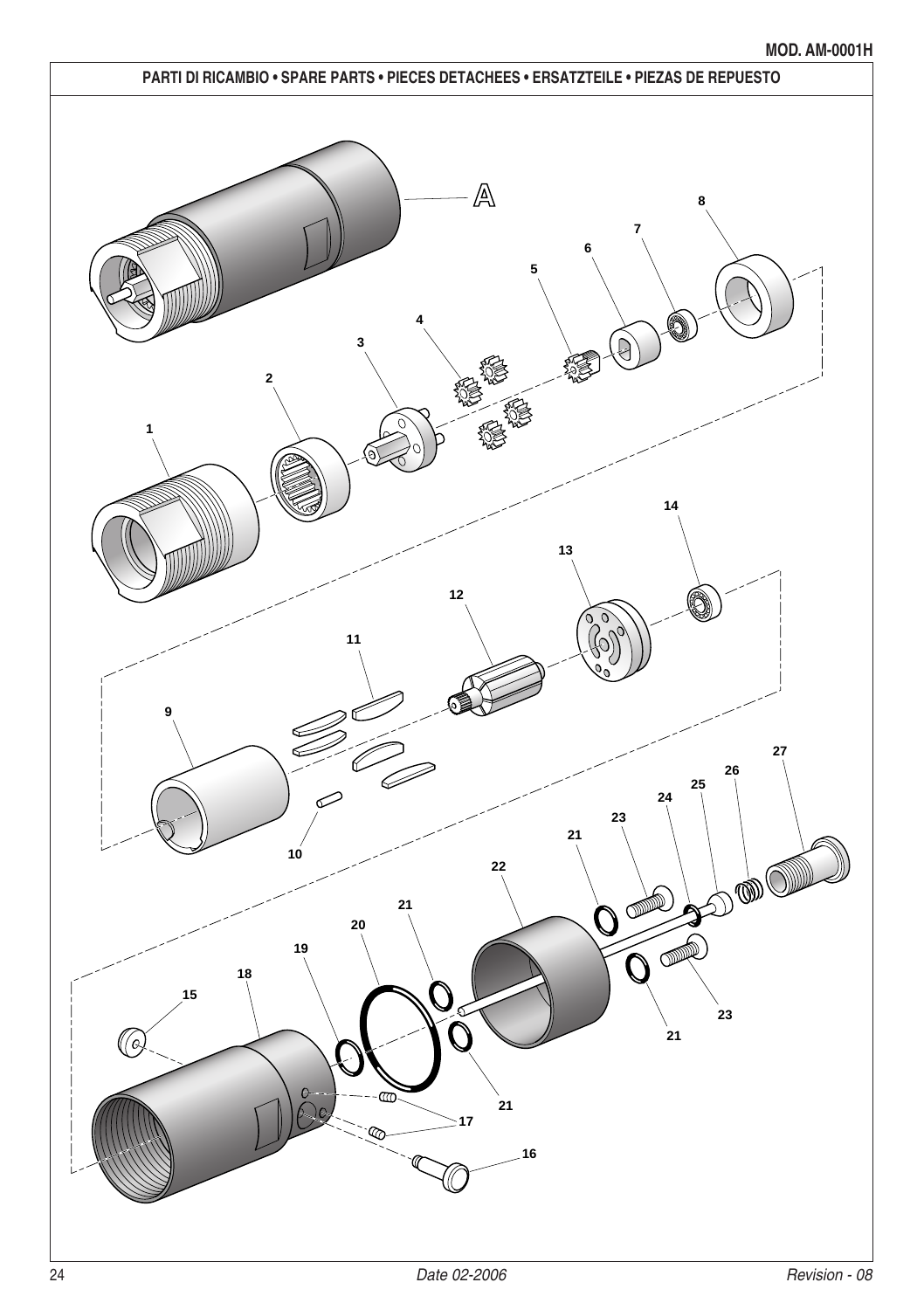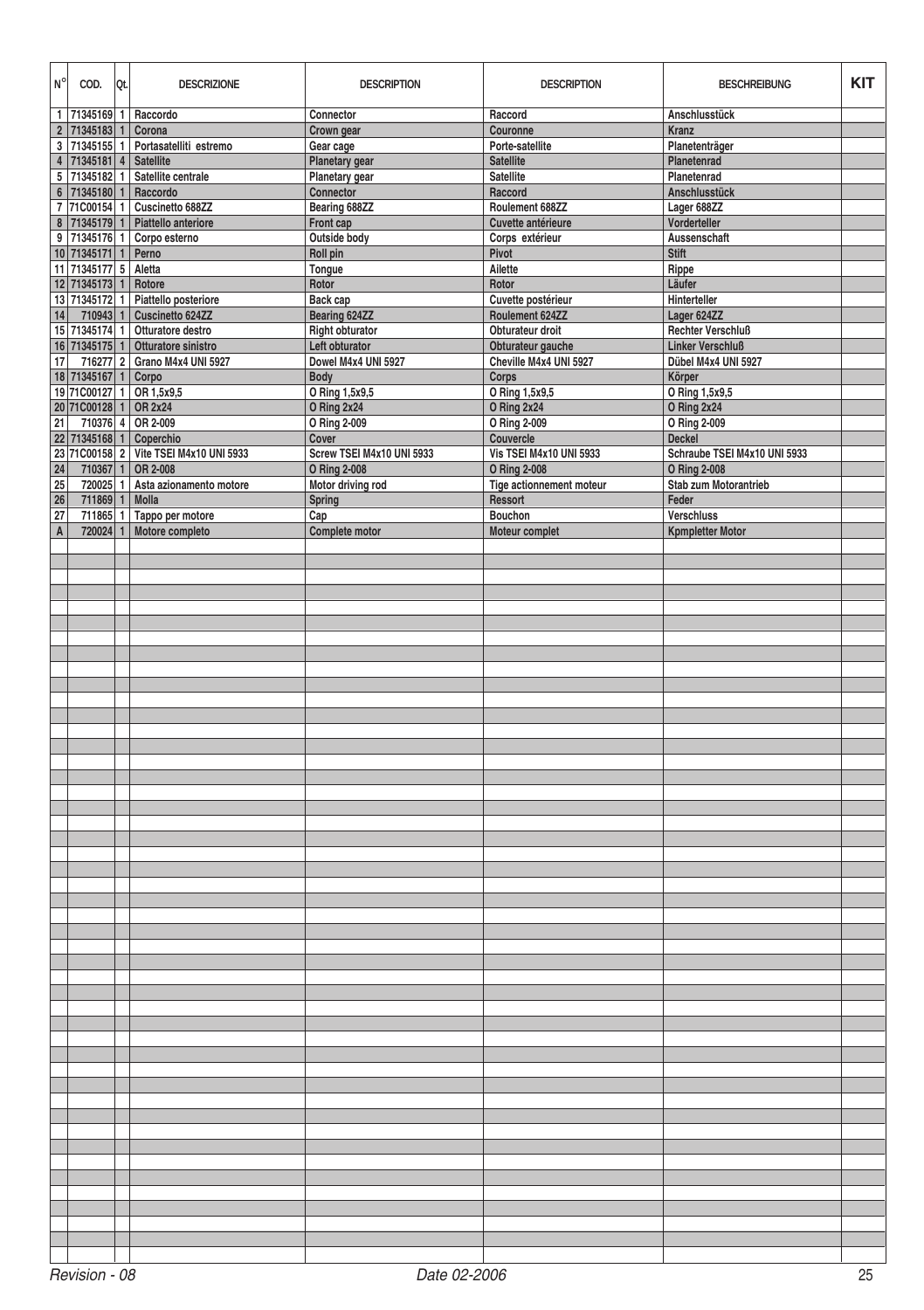| N <sup>°</sup> | COD.                                | Qt. | <b>DESCRIZIONE</b>                     | <b>DESCRIPTION</b>        | <b>DESCRIPTION</b><br><b>BESCHREIBUNG</b> |                              | <b>KIT</b> |  |  |  |
|----------------|-------------------------------------|-----|----------------------------------------|---------------------------|-------------------------------------------|------------------------------|------------|--|--|--|
|                |                                     |     | 1   71345169   1   Raccordo            | Connector                 | Raccord                                   | Anschlusstück                |            |  |  |  |
|                | 2 71345183                          | 1   | Corona                                 | Crown gear                | Couronne                                  | Kranz                        |            |  |  |  |
|                |                                     |     | 3 71345155 1 Portasatelliti estremo    | Gear cage                 | Porte-satellite                           | Planetenträger               |            |  |  |  |
|                | 4 71345181 4 Satellite              |     |                                        | Planetary gear            | <b>Satellite</b>                          | Planetenrad                  |            |  |  |  |
|                |                                     |     | 5 71345182 1 Satellite centrale        | Planetary gear            | <b>Satellite</b>                          | Planetenrad                  |            |  |  |  |
|                | $6$   71345180   1                  |     | Raccordo                               | Connector                 | Raccord                                   | Anschlusstück                |            |  |  |  |
|                |                                     |     | 7 71C00154 1 Cuscinetto 688ZZ          | Bearing 688ZZ             | Roulement 688ZZ                           | Lager 688ZZ                  |            |  |  |  |
|                |                                     |     | 8 71345179 1 Piattello anteriore       | Front cap                 | Cuvette antérieure                        | Vorderteller                 |            |  |  |  |
|                |                                     |     | 9 71345176 1 Corpo esterno             | Outside body              | Corps extérieur                           | Aussenschaft                 |            |  |  |  |
|                | 10 71345171 1 Perno                 |     |                                        | Roll pin                  | Pivot                                     | <b>Stift</b>                 |            |  |  |  |
|                | 11 71345177 5 Aletta                |     |                                        | Tongue                    | Ailette                                   | Rippe                        |            |  |  |  |
|                | 12 71345173 1                       |     | Rotore                                 | Rotor                     | Rotor                                     | Läufer                       |            |  |  |  |
|                |                                     |     | 13 71345172 1 Piattello posteriore     | Back cap                  | Cuvette postérieur                        | Hinterteller                 |            |  |  |  |
| 14             | 710943 1                            |     | Cuscinetto 624ZZ                       | Bearing 624ZZ             | Roulement 624ZZ                           | Lager 624ZZ                  |            |  |  |  |
|                |                                     |     | 15 71345174 1 Otturatore destro        | Right obturator           | Obturateur droit                          | <b>Rechter Verschluß</b>     |            |  |  |  |
|                |                                     |     | 16 71345175 1 Otturatore sinistro      | Left obturator            | Obturateur gauche                         | <b>Linker Verschluß</b>      |            |  |  |  |
| 17             |                                     |     | 716277 2 Grano M4x4 UNI 5927           | Dowel M4x4 UNI 5927       | Cheville M4x4 UNI 5927                    | Dübel M4x4 UNI 5927          |            |  |  |  |
|                | 18 71345167 1                       |     | Corpo                                  | <b>Body</b>               | Corps                                     | Körper                       |            |  |  |  |
|                |                                     |     | 19 71C00127 1 OR 1,5x9,5               | O Ring 1,5x9,5            | O Ring 1,5x9,5                            | O Ring 1,5x9,5               |            |  |  |  |
|                | 20 71C00128 1 OR 2x24               |     |                                        | O Ring 2x24               | O Ring 2x24                               | O Ring 2x24                  |            |  |  |  |
| 21             |                                     |     | 710376 4 OR 2-009                      | O Ring 2-009              | O Ring 2-009                              | O Ring 2-009                 |            |  |  |  |
|                |                                     |     | 22 71345168 1 Coperchio                | Cover                     | Couvercle                                 | <b>Deckel</b>                |            |  |  |  |
|                |                                     |     | 23 71C00158 2 Vite TSEI M4x10 UNI 5933 | Screw TSEI M4x10 UNI 5933 | <b>Vis TSEI M4x10 UNI 5933</b>            | Schraube TSEI M4x10 UNI 5933 |            |  |  |  |
| 24             | 710367 1                            |     | OR 2-008                               | O Ring 2-008              | O Ring 2-008                              | O Ring 2-008                 |            |  |  |  |
| 25             |                                     |     | 720025 1 Asta azionamento motore       | Motor driving rod         | Tige actionnement moteur                  | Stab zum Motorantrieb        |            |  |  |  |
| 26<br>27       | 711869 1                            |     | Molla                                  | Spring<br>Cap             | Ressort<br>Bouchon                        | Feder<br>Verschluss          |            |  |  |  |
| $\overline{A}$ |                                     |     | 711865 1 Tappo per motore              |                           |                                           |                              |            |  |  |  |
|                |                                     |     | 720024 1 Motore completo               | Complete motor            | Moteur complet                            | <b>Kpmpletter Motor</b>      |            |  |  |  |
|                |                                     |     |                                        |                           |                                           |                              |            |  |  |  |
|                |                                     |     |                                        |                           |                                           |                              |            |  |  |  |
|                |                                     |     |                                        |                           |                                           |                              |            |  |  |  |
|                |                                     |     |                                        |                           |                                           |                              |            |  |  |  |
|                |                                     |     |                                        |                           |                                           |                              |            |  |  |  |
|                |                                     |     |                                        |                           |                                           |                              |            |  |  |  |
|                |                                     |     |                                        |                           |                                           |                              |            |  |  |  |
|                |                                     |     |                                        |                           |                                           |                              |            |  |  |  |
|                |                                     |     |                                        |                           |                                           |                              |            |  |  |  |
|                |                                     |     |                                        |                           |                                           |                              |            |  |  |  |
|                |                                     |     |                                        |                           |                                           |                              |            |  |  |  |
|                |                                     |     |                                        |                           |                                           |                              |            |  |  |  |
|                |                                     |     |                                        |                           |                                           |                              |            |  |  |  |
|                |                                     |     |                                        |                           |                                           |                              |            |  |  |  |
|                |                                     |     |                                        |                           |                                           |                              |            |  |  |  |
|                |                                     |     |                                        |                           |                                           |                              |            |  |  |  |
|                |                                     |     |                                        |                           |                                           |                              |            |  |  |  |
|                |                                     |     |                                        |                           |                                           |                              |            |  |  |  |
|                |                                     |     |                                        |                           |                                           |                              |            |  |  |  |
|                |                                     |     |                                        |                           |                                           |                              |            |  |  |  |
|                |                                     |     |                                        |                           |                                           |                              |            |  |  |  |
|                |                                     |     |                                        |                           |                                           |                              |            |  |  |  |
|                |                                     |     |                                        |                           |                                           |                              |            |  |  |  |
|                |                                     |     |                                        |                           |                                           |                              |            |  |  |  |
|                |                                     |     |                                        |                           |                                           |                              |            |  |  |  |
|                |                                     |     |                                        |                           |                                           |                              |            |  |  |  |
|                |                                     |     |                                        |                           |                                           |                              |            |  |  |  |
|                |                                     |     |                                        |                           |                                           |                              |            |  |  |  |
|                |                                     |     |                                        |                           |                                           |                              |            |  |  |  |
|                |                                     |     |                                        |                           |                                           |                              |            |  |  |  |
|                |                                     |     |                                        |                           |                                           |                              |            |  |  |  |
|                |                                     |     |                                        |                           |                                           |                              |            |  |  |  |
|                |                                     |     |                                        |                           |                                           |                              |            |  |  |  |
|                |                                     |     |                                        |                           |                                           |                              |            |  |  |  |
|                |                                     |     |                                        |                           |                                           |                              |            |  |  |  |
|                |                                     |     |                                        |                           |                                           |                              |            |  |  |  |
|                |                                     |     |                                        |                           |                                           |                              |            |  |  |  |
|                |                                     |     |                                        |                           |                                           |                              |            |  |  |  |
|                |                                     |     |                                        |                           |                                           |                              |            |  |  |  |
|                |                                     |     |                                        |                           |                                           |                              |            |  |  |  |
|                |                                     |     |                                        |                           |                                           |                              |            |  |  |  |
|                |                                     |     |                                        |                           |                                           |                              |            |  |  |  |
|                |                                     |     |                                        |                           |                                           |                              |            |  |  |  |
|                |                                     |     |                                        |                           |                                           |                              |            |  |  |  |
|                |                                     |     |                                        |                           |                                           |                              |            |  |  |  |
|                |                                     |     |                                        |                           |                                           |                              |            |  |  |  |
|                | Revision - 08<br>Date 02-2006<br>25 |     |                                        |                           |                                           |                              |            |  |  |  |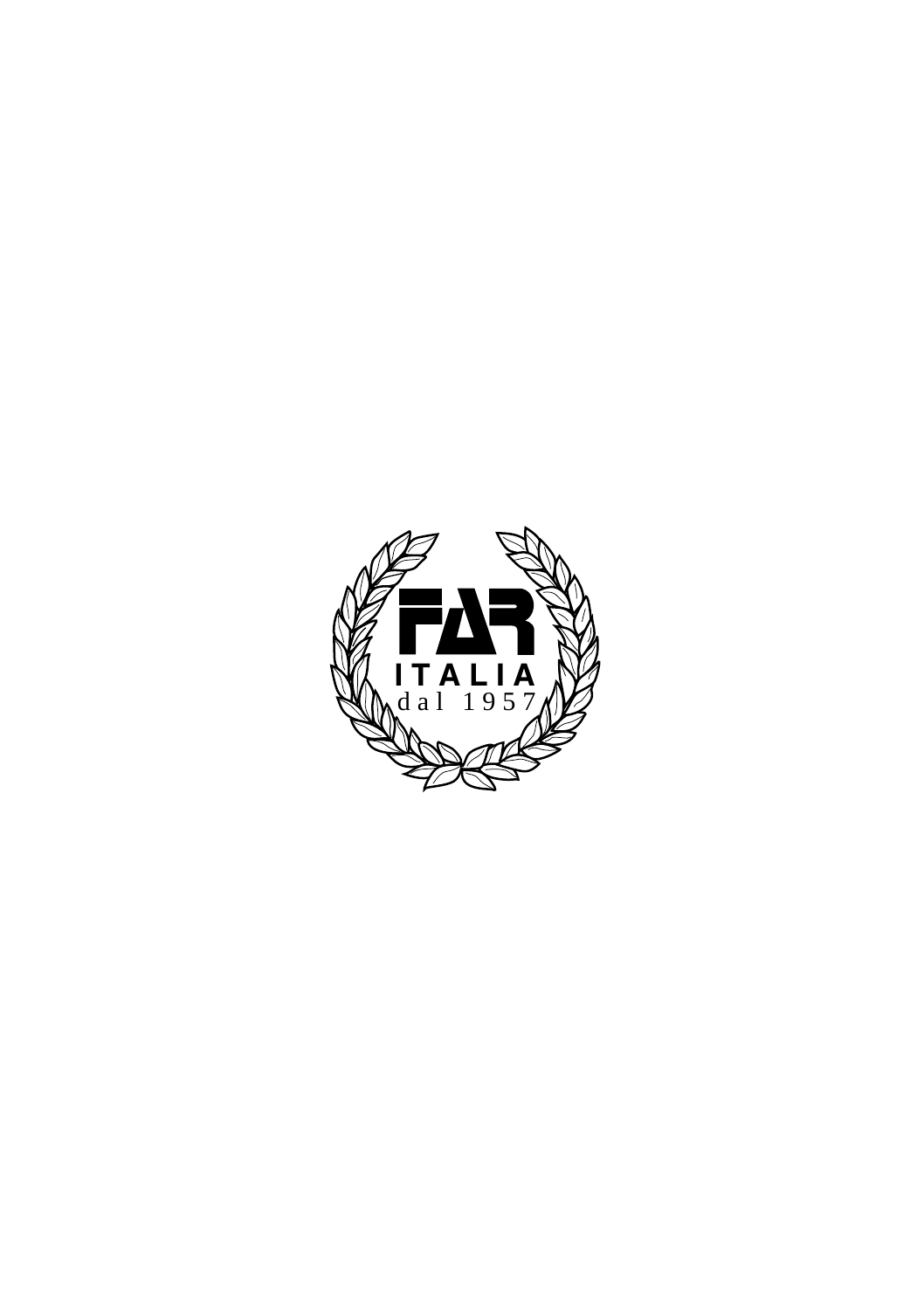